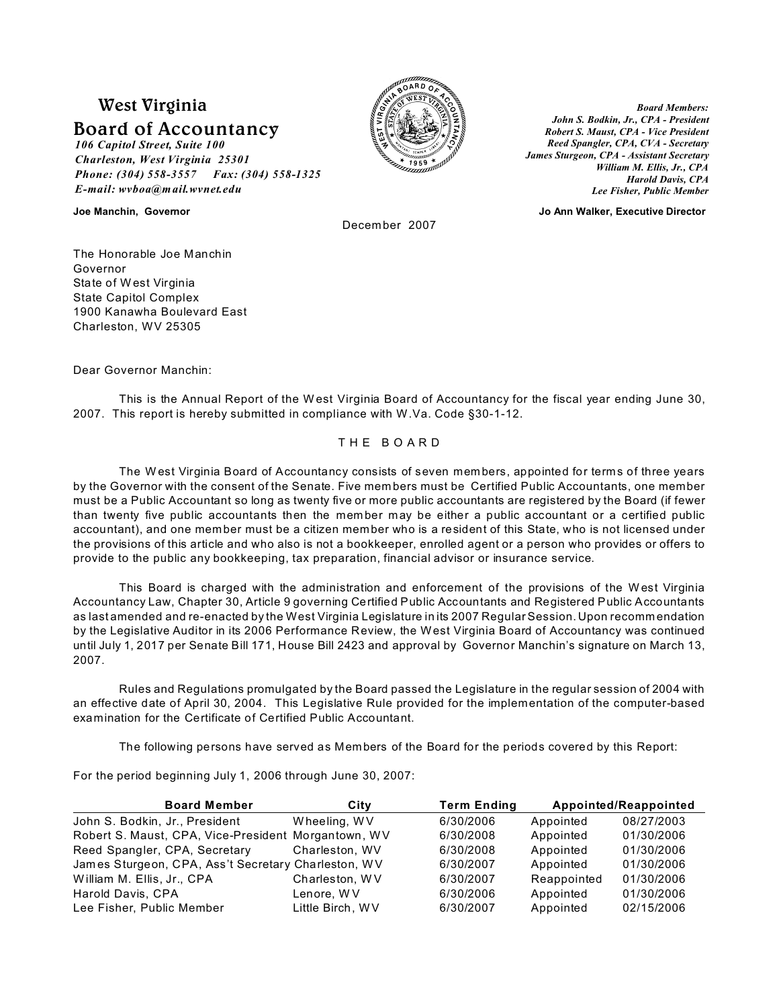# **West Virginia**

# **Board of Accountancy**

*106 Capitol Street, Suite 100 Charleston, West Virginia 25301 Phone: (304) 558-3557 Fax: (304) 558-1325 E-mail: wvboa@mail.wvnet.edu*



*Board Members: John S. Bodkin, Jr., CPA - President Robert S. Maust, CPA - Vice President Reed Spangler, CPA, CVA - Secretary James Sturgeon, CPA - Assistant Secretary William M. Ellis, Jr., CPA Harold Davis, CPA Lee Fisher, Public Member*

**Joe Manchin, Governor Jo Ann Walker, Executive Director**

December 2007

The Honorable Joe Manchin Governor State of W est Virginia State Capitol Complex 1900 Kanawha Boulevard East Charleston, WV 25305

Dear Governor Manchin:

This is the Annual Report of the W est Virginia Board of Accountancy for the fiscal year ending June 30, 2007. This report is hereby submitted in compliance with W.Va. Code §30-1-12.

# T H E B O A R D

The W est Virginia Board of Accountancy consists of seven mem bers, appointed for terms of three years by the Governor with the consent of the Senate. Five mem bers must be Certified Public Accountants, one member must be a Public Accountant so long as twenty five or more public accountants are registered by the Board (if fewer than twenty five public accountants then the mem ber may be either a public accountant or a certified public accountant), and one member must be a citizen member who is a resident of this State, who is not licensed under the provisions of this article and who also is not a bookkeeper, enrolled agent or a person who provides or offers to provide to the public any bookkeeping, tax preparation, financial advisor or insurance service.

This Board is charged with the administration and enforcement of the provisions of the W est Virginia Accountancy Law, Chapter 30, Article 9 governing Certified Public Accountants and Registered Public Accountants as last amended and re-enacted by the West Virginia Legislature in its 2007 Regular Session. Upon recomm endation by the Legislative Auditor in its 2006 Performance Review, the West Virginia Board of Accountancy was continued until July 1, 2017 per Senate Bill 171, House Bill 2423 and approval by Governor Manchin's signature on March 13, 2007.

Rules and Regulations promulgated by the Board passed the Legislature in the regular session of 2004 with an effective date of April 30, 2004. This Legislative Rule provided for the implementation of the computer-based examination for the Certificate of Certified Public Accountant.

The following persons have served as Members of the Board for the periods covered by this Report:

For the period beginning July 1, 2006 through June 30, 2007:

| <b>Board Member</b>                                 | City             | <b>Term Ending</b> |             | Appointed/Reappointed |
|-----------------------------------------------------|------------------|--------------------|-------------|-----------------------|
| John S. Bodkin, Jr., President                      | Wheeling, WV     | 6/30/2006          | Appointed   | 08/27/2003            |
| Robert S. Maust, CPA, Vice-President Morgantown, WV |                  | 6/30/2008          | Appointed   | 01/30/2006            |
| Reed Spangler, CPA, Secretary                       | Charleston, WV   | 6/30/2008          | Appointed   | 01/30/2006            |
| James Sturgeon, CPA, Ass't Secretary Charleston, WV |                  | 6/30/2007          | Appointed   | 01/30/2006            |
| William M. Ellis, Jr., CPA                          | Charleston, WV   | 6/30/2007          | Reappointed | 01/30/2006            |
| Harold Davis, CPA                                   | Lenore, WV       | 6/30/2006          | Appointed   | 01/30/2006            |
| Lee Fisher, Public Member                           | Little Birch, WV | 6/30/2007          | Appointed   | 02/15/2006            |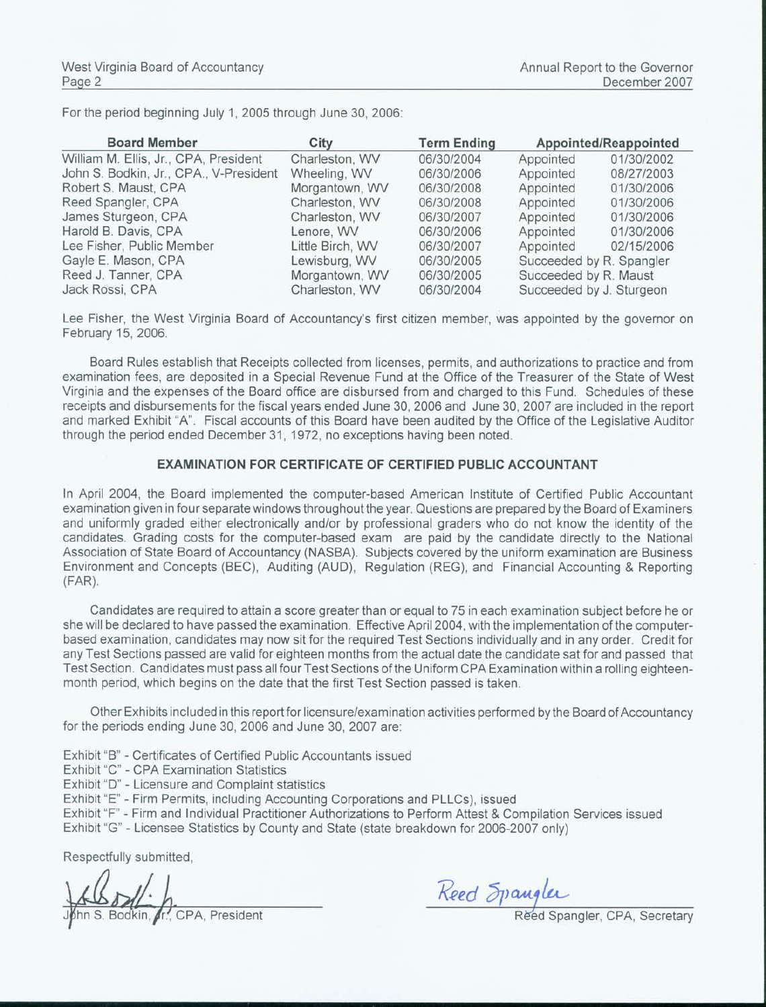For the period beginning July 1, 2005 through June 30, 2006:

| <b>Board Member</b>                    | City             | <b>Term Ending</b> | Appointed/Reappointed    |            |  |  |
|----------------------------------------|------------------|--------------------|--------------------------|------------|--|--|
| William M. Ellis, Jr., CPA, President  | Charleston, WV   | 06/30/2004         | Appointed                | 01/30/2002 |  |  |
| John S. Bodkin, Jr., CPA., V-President | Wheeling, WV     | 06/30/2006         | Appointed                | 08/27/2003 |  |  |
| Robert S. Maust, CPA                   | Morgantown, WV   | 06/30/2008         | Appointed                | 01/30/2006 |  |  |
| Reed Spangler, CPA                     | Charleston, WV   | 06/30/2008         | Appointed                | 01/30/2006 |  |  |
| James Sturgeon, CPA                    | Charleston, WV   | 06/30/2007         | Appointed                | 01/30/2006 |  |  |
| Harold B. Davis, CPA                   | Lenore, WV       | 06/30/2006         | Appointed                | 01/30/2006 |  |  |
| Lee Fisher, Public Member              | Little Birch, WV | 06/30/2007         | Appointed                | 02/15/2006 |  |  |
| Gayle E. Mason, CPA                    | Lewisburg, WV    | 06/30/2005         | Succeeded by R. Spangler |            |  |  |
| Reed J. Tanner, CPA                    | Morgantown, WV   | 06/30/2005         | Succeeded by R. Maust    |            |  |  |
| Jack Rossi, CPA                        | Charleston, WV   | 06/30/2004         | Succeeded by J. Sturgeon |            |  |  |

Lee Fisher, the West Virginia Board of Accountancy's first citizen member, was appointed by the governor on February 15, 2006.

Board Rules establish that Receipts collected from licenses, permits, and authorizations to practice and from examination fees, are deposited in a Special Revenue Fund at the Office of the Treasurer of the State of West Virginia and the expenses of the Board office are disbursed from and charged to this Fund. Schedules of these receipts and disbursements for the fiscal years ended June 30, 2006 and June 30, 2007 are included in the report and marked Exhibit "A". Fiscal accounts of this Board have been audited by the Office of the Legislative Auditor through the period ended December 31, 1972, no exceptions having been noted.

# **EXAMINATION FOR CERTIFICATE OF CERTIFIED PUBLIC ACCOUNTANT**

In April 2004, the Board implemented the computer-based American Institute of Certified Public Accountant examination given in four separate windows throughout the year. Questions are prepared by the Board of Examiners and uniformly graded either electronically and/or by professional graders who do not know the identity of the candidates. Grading costs for the computer-based exam are paid by the candidate directly to the National Association of State Board of Accountancy (NASBA). Subjects covered by the uniform examination are Business Environment and Concepts (BEC), Auditing (AUD), Regulation (REG), and Financial Accounting & Reporting  $(FAR)$ .

Candidates are required to attain a score greater than or equal to 75 in each examination subject before he or she will be declared to have passed the examination. Effective April 2004, with the implementation of the computerbased examination, candidates may now sit for the required Test Sections individually and in any order. Credit for any Test Sections passed are valid for eighteen months from the actual date the candidate sat for and passed that Test Section. Candidates must pass all four Test Sections of the Uniform CPA Examination within a rolling eighteenmonth period, which begins on the date that the first Test Section passed is taken.

Other Exhibits included in this report for licensure/examination activities performed by the Board of Accountancy for the periods ending June 30, 2006 and June 30, 2007 are:

Exhibit "B" - Certificates of Certified Public Accountants issued

Exhibit "C" - CPA Examination Statistics

Exhibit "D" - Licensure and Complaint statistics

Exhibit "E" - Firm Permits, including Accounting Corporations and PLLCs), issued

Exhibit "F" - Firm and Individual Practitioner Authorizations to Perform Attest & Compilation Services issued

Exhibit "G" - Licensee Statistics by County and State (state breakdown for 2006-2007 only)

Respectfully submitted,

Kin, CPA, President

Reed Spangler

Reed Spangler, CPA, Secretary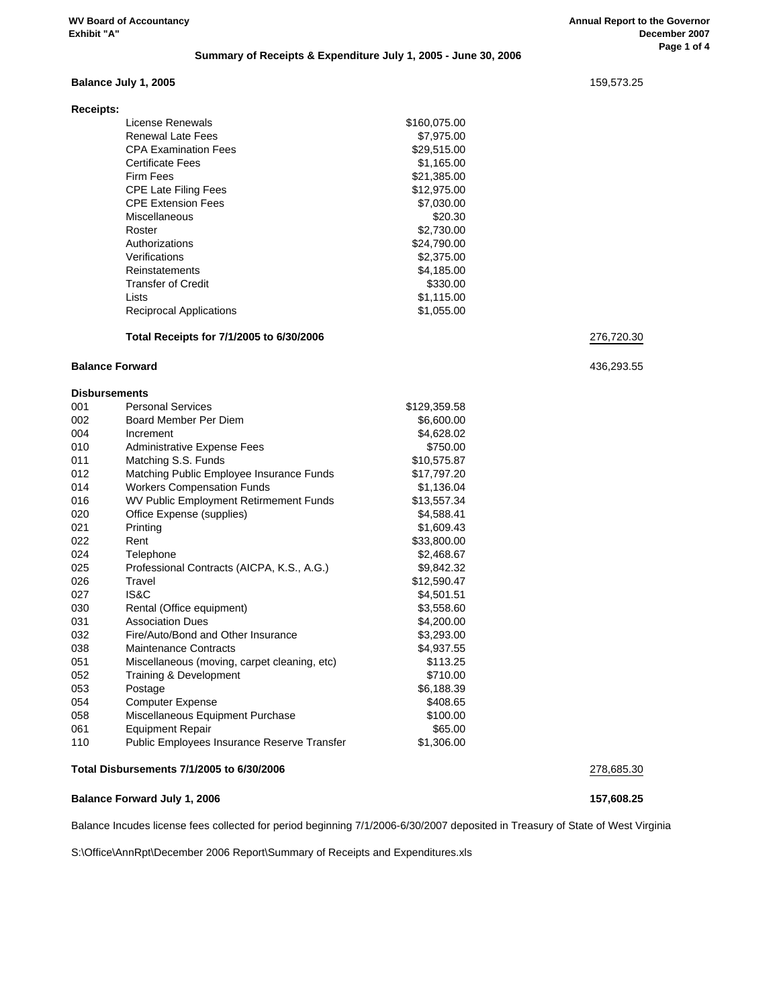#### **Summary of Receipts & Expenditure July 1, 2005 - June 30, 2006**

#### **Balance July 1, 2005** 159,573.25

| <b>Receipts:</b>               |              |
|--------------------------------|--------------|
| License Renewals               | \$160,075.00 |
| Renewal Late Fees              | \$7,975.00   |
| <b>CPA Examination Fees</b>    | \$29,515,00  |
| <b>Certificate Fees</b>        | \$1.165.00   |
| Firm Fees                      | \$21,385.00  |
| <b>CPE Late Filing Fees</b>    | \$12,975.00  |
| <b>CPE Extension Fees</b>      | \$7,030.00   |
| Miscellaneous                  | \$20.30      |
| Roster                         | \$2,730.00   |
| Authorizations                 | \$24,790.00  |
| Verifications                  | \$2,375.00   |
| Reinstatements                 | \$4,185.00   |
| Transfer of Credit             | \$330.00     |
| Lists                          | \$1,115.00   |
| <b>Reciprocal Applications</b> | \$1,055.00   |
|                                |              |

#### **Total Receipts for 7/1/2005 to 6/30/2006** 276,720.30

#### **Balance Forward** 436,293.55

#### **Disbursements** 001 Personal Services \$129,359.58

| UU I | <b>FUSULIAI JUIVILUS</b>                     | 9123,003.00 |  |
|------|----------------------------------------------|-------------|--|
| 002  | Board Member Per Diem                        | \$6,600.00  |  |
| 004  | Increment                                    | \$4,628.02  |  |
| 010  | Administrative Expense Fees                  | \$750.00    |  |
| 011  | Matching S.S. Funds                          | \$10,575.87 |  |
| 012  | Matching Public Employee Insurance Funds     | \$17,797.20 |  |
| 014  | <b>Workers Compensation Funds</b>            | \$1,136.04  |  |
| 016  | WV Public Employment Retirmement Funds       | \$13,557.34 |  |
| 020  | Office Expense (supplies)                    | \$4,588.41  |  |
| 021  | Printing                                     | \$1,609.43  |  |
| 022  | Rent                                         | \$33,800.00 |  |
| 024  | Telephone                                    | \$2,468.67  |  |
| 025  | Professional Contracts (AICPA, K.S., A.G.)   | \$9,842.32  |  |
| 026  | Travel                                       | \$12,590.47 |  |
| 027  | IS&C                                         | \$4,501.51  |  |
| 030  | Rental (Office equipment)                    | \$3,558.60  |  |
| 031  | <b>Association Dues</b>                      | \$4,200.00  |  |
| 032  | Fire/Auto/Bond and Other Insurance           | \$3,293.00  |  |
| 038  | Maintenance Contracts                        | \$4,937.55  |  |
| 051  | Miscellaneous (moving, carpet cleaning, etc) | \$113.25    |  |
| 052  | Training & Development                       | \$710.00    |  |
| 053  | Postage                                      | \$6,188.39  |  |
| 054  | <b>Computer Expense</b>                      | \$408.65    |  |
| 058  | Miscellaneous Equipment Purchase             | \$100.00    |  |
| 061  | <b>Equipment Repair</b>                      | \$65.00     |  |
| 110  | Public Employees Insurance Reserve Transfer  | \$1,306.00  |  |
|      |                                              |             |  |

#### **Total Disbursements 7/1/2005 to 6/30/2006** 278,685.30

#### **Balance Forward July 1, 2006 157,608.25**

Balance Incudes license fees collected for period beginning 7/1/2006-6/30/2007 deposited in Treasury of State of West Virginia

S:\Office\AnnRpt\December 2006 Report\Summary of Receipts and Expenditures.xls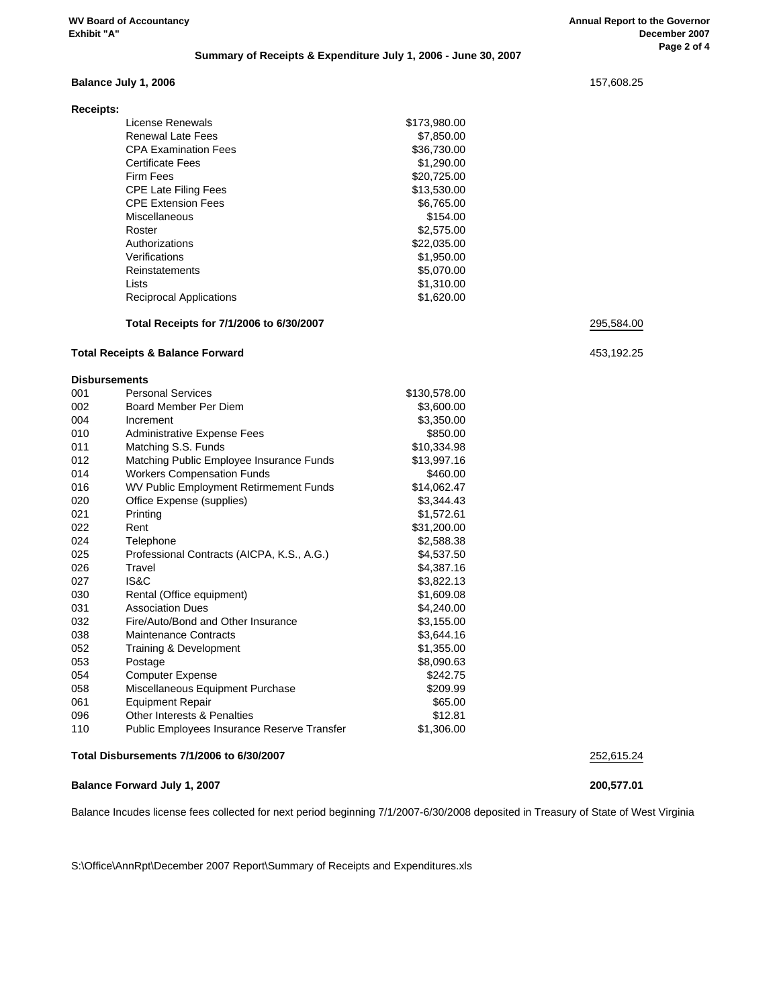#### **Summary of Receipts & Expenditure July 1, 2006 - June 30, 2007**

#### **Balance July 1, 2006** 157,608.25

| <b>Receipts:</b> |                                |              |
|------------------|--------------------------------|--------------|
|                  | License Renewals               | \$173,980.00 |
|                  | Renewal Late Fees              | \$7,850.00   |
|                  | <b>CPA Examination Fees</b>    | \$36,730.00  |
|                  | <b>Certificate Fees</b>        | \$1,290.00   |
|                  | Firm Fees                      | \$20,725.00  |
|                  | <b>CPE Late Filing Fees</b>    | \$13,530.00  |
|                  | <b>CPF Extension Fees</b>      | \$6,765.00   |
|                  | Miscellaneous                  | \$154.00     |
|                  | Roster                         | \$2,575.00   |
|                  | Authorizations                 | \$22,035,00  |
|                  | Verifications                  | \$1,950.00   |
|                  | Reinstatements                 | \$5,070,00   |
|                  | Lists                          | \$1,310.00   |
|                  | <b>Reciprocal Applications</b> | \$1,620.00   |

#### **Total Receipts for 7/1/2006 to 6/30/2007** 295,584.00

| <b>Total Receipts &amp; Balance Forward</b> | 453,192.25                                  |              |            |
|---------------------------------------------|---------------------------------------------|--------------|------------|
| <b>Disbursements</b>                        |                                             |              |            |
| 001                                         | <b>Personal Services</b>                    | \$130,578.00 |            |
| 002                                         | Board Member Per Diem                       | \$3,600.00   |            |
| 004                                         | Increment                                   | \$3,350.00   |            |
| 010                                         | <b>Administrative Expense Fees</b>          | \$850.00     |            |
| 011                                         | Matching S.S. Funds                         | \$10,334.98  |            |
| 012                                         | Matching Public Employee Insurance Funds    | \$13,997.16  |            |
| 014                                         | <b>Workers Compensation Funds</b>           | \$460.00     |            |
| 016                                         | WV Public Employment Retirmement Funds      | \$14,062.47  |            |
| 020                                         | Office Expense (supplies)                   | \$3,344.43   |            |
| 021                                         | Printing                                    | \$1,572.61   |            |
| 022                                         | Rent                                        | \$31,200.00  |            |
| 024                                         | Telephone                                   | \$2,588.38   |            |
| 025                                         | Professional Contracts (AICPA, K.S., A.G.)  | \$4,537.50   |            |
| 026                                         | Travel                                      | \$4,387.16   |            |
| 027                                         | IS&C                                        | \$3,822.13   |            |
| 030                                         | Rental (Office equipment)                   | \$1,609.08   |            |
| 031                                         | <b>Association Dues</b>                     | \$4,240.00   |            |
| 032                                         | Fire/Auto/Bond and Other Insurance          | \$3,155.00   |            |
| 038                                         | <b>Maintenance Contracts</b>                | \$3,644.16   |            |
| 052                                         | Training & Development                      | \$1,355.00   |            |
| 053                                         | Postage                                     | \$8,090.63   |            |
| 054                                         | <b>Computer Expense</b>                     | \$242.75     |            |
| 058                                         | Miscellaneous Equipment Purchase            | \$209.99     |            |
| 061                                         | <b>Equipment Repair</b>                     | \$65.00      |            |
| 096                                         | <b>Other Interests &amp; Penalties</b>      | \$12.81      |            |
| 110                                         | Public Employees Insurance Reserve Transfer | \$1,306.00   |            |
|                                             | Total Disbursements 7/1/2006 to 6/30/2007   |              | 252,615.24 |

#### **Balance Forward July 1, 2007 200,577.01**

Balance Incudes license fees collected for next period beginning 7/1/2007-6/30/2008 deposited in Treasury of State of West Virginia

S:\Office\AnnRpt\December 2007 Report\Summary of Receipts and Expenditures.xls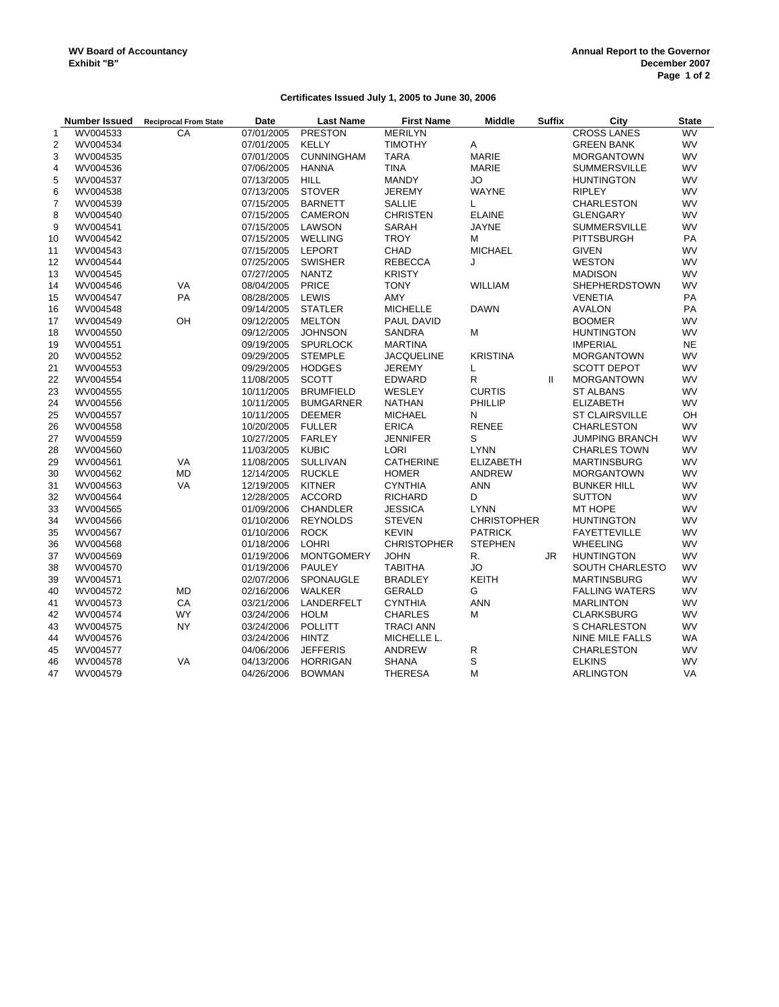# **Certificates Issued July 1, 2005 to June 30, 2006**

|                | <b>Number Issued</b> | <b>Reciprocal From State</b> | Date       | <b>Last Name</b>  | <b>First Name</b>  | <b>Middle</b>      | <b>Suffix</b> | City                   | <b>State</b> |
|----------------|----------------------|------------------------------|------------|-------------------|--------------------|--------------------|---------------|------------------------|--------------|
| $\mathbf{1}$   | WV004533             | CA                           | 07/01/2005 | <b>PRESTON</b>    | <b>MERILYN</b>     |                    |               | <b>CROSS LANES</b>     | <b>WV</b>    |
| $\overline{2}$ | WV004534             |                              | 07/01/2005 | <b>KELLY</b>      | <b>TIMOTHY</b>     | Α                  |               | <b>GREEN BANK</b>      | <b>WV</b>    |
| 3              | WV004535             |                              | 07/01/2005 | <b>CUNNINGHAM</b> | <b>TARA</b>        | <b>MARIE</b>       |               | <b>MORGANTOWN</b>      | <b>WV</b>    |
| $\overline{4}$ | WV004536             |                              | 07/06/2005 | <b>HANNA</b>      | <b>TINA</b>        | <b>MARIE</b>       |               | <b>SUMMERSVILLE</b>    | <b>WV</b>    |
| 5              | WV004537             |                              | 07/13/2005 | <b>HILL</b>       | <b>MANDY</b>       | <b>JO</b>          |               | <b>HUNTINGTON</b>      | WV           |
| 6              | WV004538             |                              | 07/13/2005 | <b>STOVER</b>     | <b>JEREMY</b>      | <b>WAYNE</b>       |               | <b>RIPLEY</b>          | <b>WV</b>    |
| $\overline{7}$ | WV004539             |                              | 07/15/2005 | <b>BARNETT</b>    | <b>SALLIE</b>      | L                  |               | CHARLESTON             | <b>WV</b>    |
| 8              | WV004540             |                              | 07/15/2005 | CAMERON           | <b>CHRISTEN</b>    | <b>ELAINE</b>      |               | <b>GLENGARY</b>        | <b>WV</b>    |
| 9              | WV004541             |                              | 07/15/2005 | LAWSON            | SARAH              | <b>JAYNE</b>       |               | <b>SUMMERSVILLE</b>    | WV           |
| 10             | WV004542             |                              | 07/15/2005 | <b>WELLING</b>    | <b>TROY</b>        | М                  |               | <b>PITTSBURGH</b>      | <b>PA</b>    |
| 11             | WV004543             |                              | 07/15/2005 | <b>LEPORT</b>     | CHAD               | <b>MICHAEL</b>     |               | <b>GIVEN</b>           | <b>WV</b>    |
| 12             | WV004544             |                              | 07/25/2005 | <b>SWISHER</b>    | <b>REBECCA</b>     | J                  |               | <b>WESTON</b>          | <b>WV</b>    |
| 13             | WV004545             |                              | 07/27/2005 | <b>NANTZ</b>      | <b>KRISTY</b>      |                    |               | <b>MADISON</b>         | <b>WV</b>    |
| 14             | WV004546             | VA                           | 08/04/2005 | PRICE             | <b>TONY</b>        | WILLIAM            |               | <b>SHEPHERDSTOWN</b>   | <b>WV</b>    |
| 15             | WV004547             | PA                           | 08/28/2005 | <b>LEWIS</b>      | AMY                |                    |               | <b>VENETIA</b>         | PA           |
| 16             | WV004548             |                              | 09/14/2005 | <b>STATLER</b>    | <b>MICHELLE</b>    | <b>DAWN</b>        |               | <b>AVALON</b>          | PA           |
| 17             | WV004549             | OH                           | 09/12/2005 | <b>MELTON</b>     | PAUL DAVID         |                    |               | <b>BOOMER</b>          | <b>WV</b>    |
| 18             | WV004550             |                              | 09/12/2005 | <b>JOHNSON</b>    | <b>SANDRA</b>      | M                  |               | <b>HUNTINGTON</b>      | WV           |
| 19             | WV004551             |                              | 09/19/2005 | <b>SPURLOCK</b>   | <b>MARTINA</b>     |                    |               | <b>IMPERIAL</b>        | <b>NE</b>    |
| 20             | WV004552             |                              | 09/29/2005 | <b>STEMPLE</b>    | <b>JACQUELINE</b>  | <b>KRISTINA</b>    |               | <b>MORGANTOWN</b>      | <b>WV</b>    |
| 21             | WV004553             |                              | 09/29/2005 | <b>HODGES</b>     | <b>JEREMY</b>      | L                  |               | <b>SCOTT DEPOT</b>     | <b>WV</b>    |
| 22             | WV004554             |                              | 11/08/2005 | <b>SCOTT</b>      | EDWARD             | R                  | $\mathbf{H}$  | <b>MORGANTOWN</b>      | WV           |
| 23             | WV004555             |                              | 10/11/2005 | <b>BRUMFIELD</b>  | WESLEY             | <b>CURTIS</b>      |               | <b>ST ALBANS</b>       | <b>WV</b>    |
| 24             | WV004556             |                              | 10/11/2005 | <b>BUMGARNER</b>  | <b>NATHAN</b>      | PHILLIP            |               | <b>ELIZABETH</b>       | <b>WV</b>    |
| 25             | WV004557             |                              | 10/11/2005 | <b>DEEMER</b>     | <b>MICHAEL</b>     | N                  |               | <b>ST CLAIRSVILLE</b>  | OH           |
| 26             | WV004558             |                              | 10/20/2005 | <b>FULLER</b>     | <b>ERICA</b>       | <b>RENEE</b>       |               | <b>CHARLESTON</b>      | WV           |
| 27             | WV004559             |                              | 10/27/2005 | <b>FARLEY</b>     | <b>JENNIFER</b>    | S                  |               | <b>JUMPING BRANCH</b>  | <b>WV</b>    |
| 28             | WV004560             |                              | 11/03/2005 | <b>KUBIC</b>      | LORI               | <b>LYNN</b>        |               | <b>CHARLES TOWN</b>    | <b>WV</b>    |
| 29             | WV004561             | VA                           | 11/08/2005 | <b>SULLIVAN</b>   | <b>CATHERINE</b>   | <b>ELIZABETH</b>   |               | <b>MARTINSBURG</b>     | <b>WV</b>    |
| 30             | WV004562             | <b>MD</b>                    | 12/14/2005 | <b>RUCKLE</b>     | <b>HOMER</b>       | <b>ANDREW</b>      |               | <b>MORGANTOWN</b>      | <b>WV</b>    |
| 31             | WV004563             | VA                           | 12/19/2005 | <b>KITNER</b>     | <b>CYNTHIA</b>     | <b>ANN</b>         |               | <b>BUNKER HILL</b>     | WV           |
| 32             | WV004564             |                              | 12/28/2005 | <b>ACCORD</b>     | <b>RICHARD</b>     | D                  |               | <b>SUTTON</b>          | <b>WV</b>    |
| 33             | WV004565             |                              | 01/09/2006 | <b>CHANDLER</b>   | <b>JESSICA</b>     | <b>LYNN</b>        |               | MT HOPE                | <b>WV</b>    |
| 34             | WV004566             |                              | 01/10/2006 | <b>REYNOLDS</b>   | <b>STEVEN</b>      | <b>CHRISTOPHER</b> |               | <b>HUNTINGTON</b>      | <b>WV</b>    |
| 35             | WV004567             |                              | 01/10/2006 | <b>ROCK</b>       | <b>KEVIN</b>       | <b>PATRICK</b>     |               | <b>FAYETTEVILLE</b>    | <b>WV</b>    |
| 36             | WV004568             |                              | 01/18/2006 | <b>LOHRI</b>      | <b>CHRISTOPHER</b> | <b>STEPHEN</b>     |               | <b>WHEELING</b>        | <b>WV</b>    |
| 37             | WV004569             |                              | 01/19/2006 | <b>MONTGOMERY</b> | <b>JOHN</b>        | R.                 | JR.           | <b>HUNTINGTON</b>      | <b>WV</b>    |
| 38             | WV004570             |                              | 01/19/2006 | <b>PAULEY</b>     | <b>TABITHA</b>     | <b>JO</b>          |               | SOUTH CHARLESTO        | <b>WV</b>    |
| 39             | WV004571             |                              | 02/07/2006 | SPONAUGLE         | <b>BRADLEY</b>     | <b>KEITH</b>       |               | <b>MARTINSBURG</b>     | <b>WV</b>    |
| 40             | WV004572             | MD                           | 02/16/2006 | <b>WALKER</b>     | <b>GERALD</b>      | G                  |               | <b>FALLING WATERS</b>  | WV           |
| 41             | WV004573             | CA                           | 03/21/2006 | LANDERFELT        | <b>CYNTHIA</b>     | <b>ANN</b>         |               | <b>MARLINTON</b>       | <b>WV</b>    |
| 42             | WV004574             | <b>WY</b>                    | 03/24/2006 | <b>HOLM</b>       | <b>CHARLES</b>     | M                  |               | <b>CLARKSBURG</b>      | <b>WV</b>    |
| 43             | WV004575             | <b>NY</b>                    | 03/24/2006 | <b>POLLITT</b>    | <b>TRACI ANN</b>   |                    |               | S CHARLESTON           | <b>WV</b>    |
| 44             | WV004576             |                              | 03/24/2006 | <b>HINTZ</b>      | MICHELLE L.        |                    |               | <b>NINE MILE FALLS</b> | <b>WA</b>    |
| 45             | WV004577             |                              | 04/06/2006 | <b>JEFFERIS</b>   | ANDREW             | ${\sf R}$          |               | <b>CHARLESTON</b>      | <b>WV</b>    |
| 46             | WV004578             | VA                           | 04/13/2006 | <b>HORRIGAN</b>   | <b>SHANA</b>       | S                  |               | <b>ELKINS</b>          | <b>WV</b>    |
| 47             | WV004579             |                              | 04/26/2006 | <b>BOWMAN</b>     | <b>THERESA</b>     | M                  |               | <b>ARLINGTON</b>       | VA           |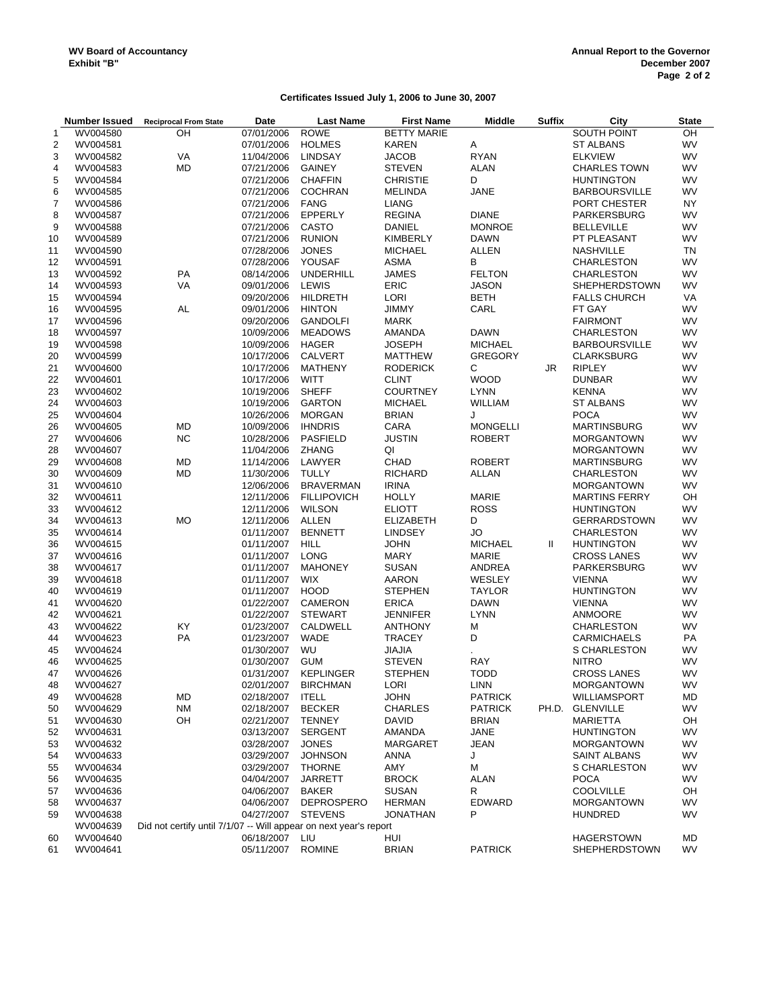# **Certificates Issued July 1, 2006 to June 30, 2007**

|                | <b>Number Issued</b> | <b>Reciprocal From State</b>                                      | Date             | <b>Last Name</b>   | <b>First Name</b>  | <b>Middle</b>   | <b>Suffix</b> | City                 | <b>State</b> |
|----------------|----------------------|-------------------------------------------------------------------|------------------|--------------------|--------------------|-----------------|---------------|----------------------|--------------|
| 1              | WV004580             | OH                                                                | 07/01/2006       | <b>ROWE</b>        | <b>BETTY MARIE</b> |                 |               | SOUTH POINT          | OH           |
| $\overline{2}$ | WV004581             |                                                                   | 07/01/2006       | <b>HOLMES</b>      | <b>KAREN</b>       | Α               |               | <b>ST ALBANS</b>     | <b>WV</b>    |
| 3              | WV004582             | VA                                                                | 11/04/2006       | <b>LINDSAY</b>     | <b>JACOB</b>       | <b>RYAN</b>     |               | <b>ELKVIEW</b>       | WV           |
| 4              | WV004583             | MD                                                                | 07/21/2006       | <b>GAINEY</b>      | <b>STEVEN</b>      | <b>ALAN</b>     |               | <b>CHARLES TOWN</b>  | <b>WV</b>    |
| 5              | WV004584             |                                                                   | 07/21/2006       | <b>CHAFFIN</b>     | <b>CHRISTIE</b>    | D               |               | <b>HUNTINGTON</b>    | <b>WV</b>    |
| 6              | WV004585             |                                                                   | 07/21/2006       | <b>COCHRAN</b>     | <b>MELINDA</b>     | <b>JANE</b>     |               | <b>BARBOURSVILLE</b> | <b>WV</b>    |
| $\overline{7}$ | WV004586             |                                                                   | 07/21/2006       | <b>FANG</b>        | <b>LIANG</b>       |                 |               | PORT CHESTER         | NY.          |
| 8              | WV004587             |                                                                   | 07/21/2006       | EPPERLY            | <b>REGINA</b>      | <b>DIANE</b>    |               | <b>PARKERSBURG</b>   | <b>WV</b>    |
| 9              | WV004588             |                                                                   | 07/21/2006       | <b>CASTO</b>       | <b>DANIEL</b>      | <b>MONROE</b>   |               | <b>BELLEVILLE</b>    | WV           |
| 10             | WV004589             |                                                                   | 07/21/2006       | <b>RUNION</b>      | KIMBERLY           | <b>DAWN</b>     |               | PT PLEASANT          | <b>WV</b>    |
| 11             | WV004590             |                                                                   | 07/28/2006       | <b>JONES</b>       | <b>MICHAEL</b>     | ALLEN           |               | <b>NASHVILLE</b>     | <b>TN</b>    |
| 12             | WV004591             |                                                                   | 07/28/2006       | YOUSAF             | <b>ASMA</b>        | В               |               | <b>CHARLESTON</b>    | WV           |
| 13             | WV004592             | PA                                                                | 08/14/2006       | <b>UNDERHILL</b>   | <b>JAMES</b>       | <b>FELTON</b>   |               | <b>CHARLESTON</b>    | <b>WV</b>    |
| 14             | WV004593             | VA                                                                | 09/01/2006       | LEWIS              | ERIC               | <b>JASON</b>    |               | <b>SHEPHERDSTOWN</b> | WV           |
| 15             | WV004594             |                                                                   | 09/20/2006       | <b>HILDRETH</b>    | LORI               | <b>BETH</b>     |               | <b>FALLS CHURCH</b>  | VA           |
| 16             | WV004595             | AL                                                                | 09/01/2006       | <b>HINTON</b>      | <b>JIMMY</b>       | CARL            |               | FT GAY               | WV           |
| 17             | WV004596             |                                                                   | 09/20/2006       | <b>GANDOLFI</b>    | <b>MARK</b>        |                 |               | <b>FAIRMONT</b>      | <b>WV</b>    |
| 18             | WV004597             |                                                                   | 10/09/2006       | <b>MEADOWS</b>     | AMANDA             | <b>DAWN</b>     |               | <b>CHARLESTON</b>    | WV           |
| 19             | WV004598             |                                                                   | 10/09/2006       | <b>HAGER</b>       | <b>JOSEPH</b>      | <b>MICHAEL</b>  |               | <b>BARBOURSVILLE</b> | <b>WV</b>    |
| 20             | WV004599             |                                                                   | 10/17/2006       | CALVERT            | MATTHEW            | <b>GREGORY</b>  |               | <b>CLARKSBURG</b>    | <b>WV</b>    |
| 21             | WV004600             |                                                                   | 10/17/2006       | <b>MATHENY</b>     | <b>RODERICK</b>    | С               | <b>JR</b>     | <b>RIPLEY</b>        | <b>WV</b>    |
| 22             | WV004601             |                                                                   | 10/17/2006       | <b>WITT</b>        | <b>CLINT</b>       | <b>WOOD</b>     |               | <b>DUNBAR</b>        | WV           |
| 23             | WV004602             |                                                                   | 10/19/2006       | <b>SHEFF</b>       | <b>COURTNEY</b>    | <b>LYNN</b>     |               | <b>KENNA</b>         | WV           |
| 24             | WV004603             |                                                                   | 10/19/2006       | <b>GARTON</b>      | <b>MICHAEL</b>     | WILLIAM         |               | <b>ST ALBANS</b>     | WV           |
| 25             | WV004604             |                                                                   | 10/26/2006       | <b>MORGAN</b>      | <b>BRIAN</b>       | J               |               | <b>POCA</b>          | WV           |
| 26             | WV004605             | MD                                                                | 10/09/2006       | <b>IHNDRIS</b>     | CARA               | <b>MONGELLI</b> |               | <b>MARTINSBURG</b>   | <b>WV</b>    |
| 27             | WV004606             | <b>NC</b>                                                         | 10/28/2006       | PASFIELD           | <b>JUSTIN</b>      | <b>ROBERT</b>   |               | <b>MORGANTOWN</b>    | <b>WV</b>    |
| 28             | WV004607             |                                                                   | 11/04/2006       | <b>ZHANG</b>       | QI                 |                 |               | <b>MORGANTOWN</b>    | <b>WV</b>    |
| 29             | WV004608             | <b>MD</b>                                                         | 11/14/2006       | LAWYER             | CHAD               | <b>ROBERT</b>   |               | <b>MARTINSBURG</b>   | WV           |
|                |                      | <b>MD</b>                                                         | 11/30/2006       | <b>TULLY</b>       | <b>RICHARD</b>     | <b>ALLAN</b>    |               | <b>CHARLESTON</b>    | WV           |
| 30             | WV004609             |                                                                   |                  | <b>BRAVERMAN</b>   | <b>IRINA</b>       |                 |               |                      | WV           |
| 31             | WV004610             |                                                                   | 12/06/2006       |                    |                    |                 |               | <b>MORGANTOWN</b>    |              |
| 32             | WV004611             |                                                                   | 12/11/2006       | <b>FILLIPOVICH</b> | <b>HOLLY</b>       | <b>MARIE</b>    |               | <b>MARTINS FERRY</b> | OH           |
| 33             | WV004612             |                                                                   | 12/11/2006       | <b>WILSON</b>      | <b>ELIOTT</b>      | <b>ROSS</b>     |               | <b>HUNTINGTON</b>    | <b>WV</b>    |
| 34             | WV004613             | <b>MO</b>                                                         | 12/11/2006       | ALLEN              | <b>ELIZABETH</b>   | D               |               | <b>GERRARDSTOWN</b>  | <b>WV</b>    |
| 35             | WV004614             |                                                                   | 01/11/2007       | <b>BENNETT</b>     | <b>LINDSEY</b>     | <b>JO</b>       |               | <b>CHARLESTON</b>    | <b>WV</b>    |
| 36             | WV004615             |                                                                   | 01/11/2007       | <b>HILL</b>        | <b>JOHN</b>        | <b>MICHAEL</b>  | Ш             | <b>HUNTINGTON</b>    | WV           |
| 37             | WV004616             |                                                                   | 01/11/2007       | <b>LONG</b>        | <b>MARY</b>        | <b>MARIE</b>    |               | <b>CROSS LANES</b>   | <b>WV</b>    |
| 38             | WV004617             |                                                                   | 01/11/2007       | <b>MAHONEY</b>     | <b>SUSAN</b>       | ANDREA          |               | PARKERSBURG          | <b>WV</b>    |
| 39             | WV004618             |                                                                   | 01/11/2007       | <b>WIX</b>         | <b>AARON</b>       | WESLEY          |               | <b>VIENNA</b>        | <b>WV</b>    |
| 40             | WV004619             |                                                                   | 01/11/2007       | <b>HOOD</b>        | <b>STEPHEN</b>     | <b>TAYLOR</b>   |               | <b>HUNTINGTON</b>    | WV           |
| 41             | WV004620             |                                                                   | 01/22/2007       | CAMERON            | <b>ERICA</b>       | <b>DAWN</b>     |               | <b>VIENNA</b>        | <b>WV</b>    |
| 42             | WV004621             |                                                                   | 01/22/2007       | <b>STEWART</b>     | <b>JENNIFER</b>    | <b>LYNN</b>     |               | <b>ANMOORE</b>       | WV           |
| 43             | WV004622             | KY                                                                | 01/23/2007       | CALDWELL           | <b>ANTHONY</b>     | M               |               | <b>CHARLESTON</b>    | <b>WV</b>    |
| 44             | WV004623             | PA                                                                | 01/23/2007       | <b>WADE</b>        | <b>TRACEY</b>      | D               |               | <b>CARMICHAELS</b>   | PA           |
| 45             | WV004624             |                                                                   | 01/30/2007       | WU                 | <b>JIAJIA</b>      |                 |               | S CHARLESTON         | WV           |
| 46             | WV004625             |                                                                   | 01/30/2007       | <b>GUM</b>         | <b>STEVEN</b>      | RAY             |               | <b>NITRO</b>         | <b>WV</b>    |
| 47             | WV004626             |                                                                   | 01/31/2007       | <b>KEPLINGER</b>   | <b>STEPHEN</b>     | <b>TODD</b>     |               | <b>CROSS LANES</b>   | WV           |
| 48             | WV004627             |                                                                   | 02/01/2007       | <b>BIRCHMAN</b>    | LORI               | LINN            |               | <b>MORGANTOWN</b>    | WV           |
| 49             | WV004628             | MD                                                                | 02/18/2007 ITELL |                    | <b>JOHN</b>        | <b>PATRICK</b>  |               | WILLIAMSPORT         | MD           |
| 50             | WV004629             | ΝM                                                                | 02/18/2007       | <b>BECKER</b>      | <b>CHARLES</b>     | <b>PATRICK</b>  |               | PH.D. GLENVILLE      | WV           |
| 51             | WV004630             | OH                                                                | 02/21/2007       | <b>TENNEY</b>      | <b>DAVID</b>       | <b>BRIAN</b>    |               | MARIETTA             | OН           |
| 52             | WV004631             |                                                                   | 03/13/2007       | <b>SERGENT</b>     | AMANDA             | JANE            |               | <b>HUNTINGTON</b>    | WV           |
| 53             | WV004632             |                                                                   | 03/28/2007       | <b>JONES</b>       | MARGARET           | JEAN            |               | <b>MORGANTOWN</b>    | WV           |
| 54             | WV004633             |                                                                   | 03/29/2007       | <b>JOHNSON</b>     | ANNA               | J               |               | SAINT ALBANS         | WV           |
| 55             | WV004634             |                                                                   | 03/29/2007       | <b>THORNE</b>      | AMY                | М               |               | S CHARLESTON         | WV           |
| 56             | WV004635             |                                                                   | 04/04/2007       | <b>JARRETT</b>     | <b>BROCK</b>       | ALAN            |               | <b>POCA</b>          | <b>WV</b>    |
| 57             | WV004636             |                                                                   | 04/06/2007       | <b>BAKER</b>       | <b>SUSAN</b>       | R               |               | <b>COOLVILLE</b>     | OН           |
| 58             | WV004637             |                                                                   | 04/06/2007       | <b>DEPROSPERO</b>  | <b>HERMAN</b>      | <b>EDWARD</b>   |               | <b>MORGANTOWN</b>    | WV           |
| 59             | WV004638             |                                                                   | 04/27/2007       | <b>STEVENS</b>     | JONATHAN           | P               |               | <b>HUNDRED</b>       | WV           |
|                | WV004639             | Did not certify until 7/1/07 -- Will appear on next year's report |                  |                    |                    |                 |               |                      |              |
| 60             | WV004640             |                                                                   | 06/18/2007       | LIU                | HUI                |                 |               | <b>HAGERSTOWN</b>    | MD           |
| 61             | WV004641             |                                                                   | 05/11/2007       | <b>ROMINE</b>      | <b>BRIAN</b>       | <b>PATRICK</b>  |               | <b>SHEPHERDSTOWN</b> | WV           |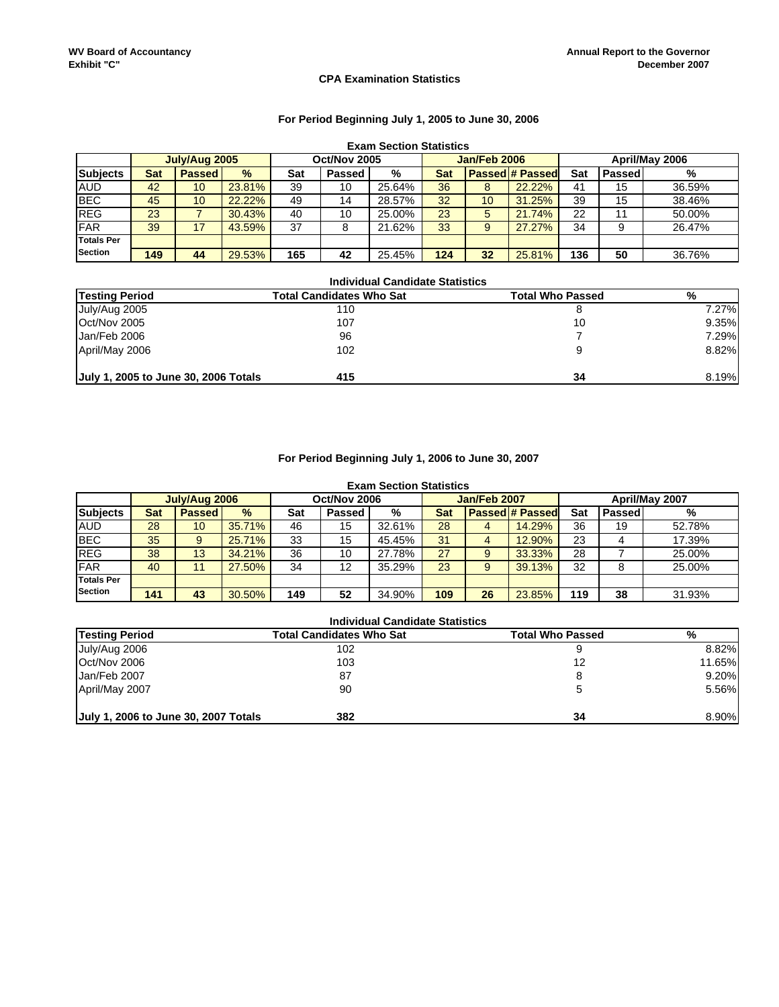#### **CPA Examination Statistics**

# **For Period Beginning July 1, 2005 to June 30, 2006**

|                   | <b>Exam Section Statistics</b> |               |               |     |               |        |     |              |                        |     |        |        |
|-------------------|--------------------------------|---------------|---------------|-----|---------------|--------|-----|--------------|------------------------|-----|--------|--------|
|                   |                                | July/Aug 2005 |               |     | Oct/Nov 2005  |        |     | Jan/Feb 2006 | April/May 2006         |     |        |        |
| <b>Subjects</b>   | <b>Sat</b>                     | <b>Passed</b> | $\frac{9}{6}$ | Sat | <b>Passed</b> | %      | Sat |              | <b>Passed # Passed</b> | Sat | Passed | %      |
| <b>AUD</b>        | 42                             | 10            | 23.81%        | 39  | 10            | 25.64% | 36  | 8            | 22.22%                 | 41  | 15     | 36.59% |
| <b>BEC</b>        | 45                             | 10            | 22.22%        | 49  | 14            | 28.57% | 32  | 10           | 31.25%                 | 39  | 15     | 38.46% |
| <b>REG</b>        | 23                             |               | 30.43%        | 40  | 10            | 25.00% | 23  | 5            | 21.74%                 | 22  | 11     | 50.00% |
| <b>FAR</b>        | 39                             | 17            | 43.59%        | 37  | 8             | 21.62% | 33  | 9            | 27.27%                 | 34  | 9      | 26.47% |
| <b>Totals Per</b> |                                |               |               |     |               |        |     |              |                        |     |        |        |
| <b>Section</b>    | 149                            | 44            | 29.53%        | 165 | 42            | 25.45% | 124 | 32           | 25.81%                 | 136 | 50     | 36.76% |

| <b>Individual Candidate Statistics</b> |                                 |                         |       |  |  |  |  |  |
|----------------------------------------|---------------------------------|-------------------------|-------|--|--|--|--|--|
| <b>Testing Period</b>                  | <b>Total Candidates Who Sat</b> | <b>Total Who Passed</b> | %     |  |  |  |  |  |
| July/Aug 2005                          | 110                             |                         | 7.27% |  |  |  |  |  |
| Oct/Nov 2005                           | 107                             | 10                      | 9.35% |  |  |  |  |  |
| Jan/Feb 2006                           | 96                              |                         | 7.29% |  |  |  |  |  |
| April/May 2006                         | 102                             |                         | 8.82% |  |  |  |  |  |
| July 1, 2005 to June 30, 2006 Totals   | 415                             | 34                      | 8.19% |  |  |  |  |  |

#### **For Period Beginning July 1, 2006 to June 30, 2007**

|                   | <b>Exam Section Statistics</b> |               |               |     |               |        |     |                     |                        |     |        |        |
|-------------------|--------------------------------|---------------|---------------|-----|---------------|--------|-----|---------------------|------------------------|-----|--------|--------|
|                   |                                | July/Aug 2006 |               |     | Oct/Nov 2006  |        |     | <b>Jan/Feb 2007</b> | April/May 2007         |     |        |        |
| <b>Subjects</b>   | <b>Sat</b>                     | <b>Passed</b> | $\frac{9}{6}$ | Sat | <b>Passed</b> | %      | Sat |                     | <b>Passed # Passed</b> | Sat | Passed | %      |
| <b>AUD</b>        | 28                             | 10            | 35.71%        | 46  | 15            | 32.61% | 28  | 4                   | 14.29%                 | 36  | 19     | 52.78% |
| <b>BEC</b>        | 35                             | 9             | 25.71%        | 33  | 15            | 45.45% | 31  | 4                   | 12.90%                 | 23  | 4      | 17.39% |
| <b>REG</b>        | 38                             | 13            | 34.21%        | 36  | 10            | 27.78% | 27  | 9                   | 33.33%                 | 28  |        | 25.00% |
| <b>FAR</b>        | 40                             | 11            | 27.50%        | 34  | 12            | 35.29% | 23  | 9                   | 39.13%                 | 32  | 8      | 25.00% |
| <b>Totals Per</b> |                                |               |               |     |               |        |     |                     |                        |     |        |        |
| <b>Section</b>    | 141                            | 43            | 30.50%        | 149 | 52            | 34.90% | 109 | 26                  | 23.85%                 | 119 | 38     | 31.93% |

| <b>Individual Candidate Statistics</b> |           |
|----------------------------------------|-----------|
| Total Candidates Who Sat               | Total Who |

| <b>Testing Period</b>                | Total Candidates Who Sat | <b>Total Who Passed</b> | %        |
|--------------------------------------|--------------------------|-------------------------|----------|
| July/Aug 2006                        | 102                      |                         | 8.82%    |
| Oct/Nov 2006                         | 103                      | 12                      | 11.65%   |
| Jan/Feb 2007                         | 87                       |                         | $9.20\%$ |
| April/May 2007                       | 90                       |                         | 5.56%    |
| July 1, 2006 to June 30, 2007 Totals | 382                      | 34                      | 8.90%    |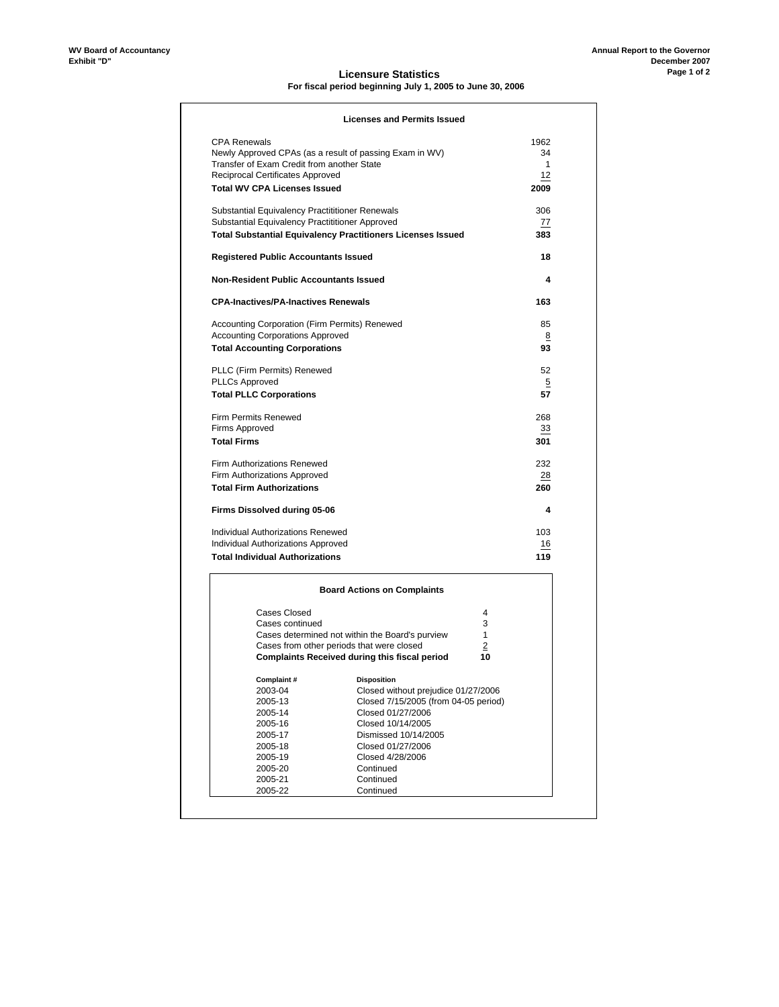#### **Licensure Statistics For fiscal period beginning July 1, 2005 to June 30, 2006**

|                                                         | <b>Licenses and Permits Issued</b>                                 |              |
|---------------------------------------------------------|--------------------------------------------------------------------|--------------|
| <b>CPA Renewals</b>                                     |                                                                    | 1962         |
| Newly Approved CPAs (as a result of passing Exam in WV) |                                                                    | 34           |
| Transfer of Exam Credit from another State              |                                                                    | $\mathbf{1}$ |
| Reciprocal Certificates Approved                        |                                                                    | 12           |
| <b>Total WV CPA Licenses Issued</b>                     |                                                                    | 2009         |
| Substantial Equivalency Practititioner Renewals         |                                                                    | 306          |
| Substantial Equivalency Practititioner Approved         |                                                                    | 77           |
|                                                         | <b>Total Substantial Equivalency Practitioners Licenses Issued</b> | 383          |
| <b>Registered Public Accountants Issued</b>             |                                                                    | 18           |
| <b>Non-Resident Public Accountants Issued</b>           |                                                                    | 4            |
| <b>CPA-Inactives/PA-Inactives Renewals</b>              |                                                                    | 163          |
| Accounting Corporation (Firm Permits) Renewed           |                                                                    | 85           |
| <b>Accounting Corporations Approved</b>                 |                                                                    | 8            |
| <b>Total Accounting Corporations</b>                    |                                                                    | 93           |
| PLLC (Firm Permits) Renewed                             |                                                                    | 52           |
| <b>PLLCs Approved</b>                                   |                                                                    | 5            |
| <b>Total PLLC Corporations</b>                          |                                                                    | 57           |
| Firm Permits Renewed                                    |                                                                    | 268          |
| Firms Approved                                          |                                                                    | 33           |
| <b>Total Firms</b>                                      |                                                                    | 301          |
| <b>Firm Authorizations Renewed</b>                      |                                                                    | 232          |
| Firm Authorizations Approved                            |                                                                    | 28           |
| <b>Total Firm Authorizations</b>                        |                                                                    | 260          |
| Firms Dissolved during 05-06                            |                                                                    | 4            |
| Individual Authorizations Renewed                       |                                                                    | 103          |
| Individual Authorizations Approved                      |                                                                    | 16           |
| <b>Total Individual Authorizations</b>                  |                                                                    | 119          |
|                                                         | <b>Board Actions on Complaints</b>                                 |              |
| Cases Closed                                            |                                                                    | 4            |
| Cases continued                                         |                                                                    | 3            |
|                                                         | Cases determined not within the Board's purview                    | 1            |
|                                                         | Cases from other periods that were closed                          | 2            |
|                                                         | <b>Complaints Received during this fiscal period</b>               | 10           |
| Complaint#                                              | <b>Disposition</b>                                                 |              |
| 2003-04                                                 | Closed without prejudice 01/27/2006                                |              |
| 2005-13                                                 | Closed 7/15/2005 (from 04-05 period)                               |              |

2005-13 Closed 7/15/2005 (from 04-05 period)

**Continued** 

2005-14 Closed 01/27/2006<br>2005-16 Closed 10/14/2005 2005-16<br>
2005-16 Closed 10/14/2005<br>
2005-17 Dismissed 10/14/20 2005-17 Dismissed 10/14/2005 2005-18 Closed 01/27/2006 2005-19 Closed 4/28/2006<br>2005-20 Closed 4/28/2006 2005-20 Continued 2005-21 Continued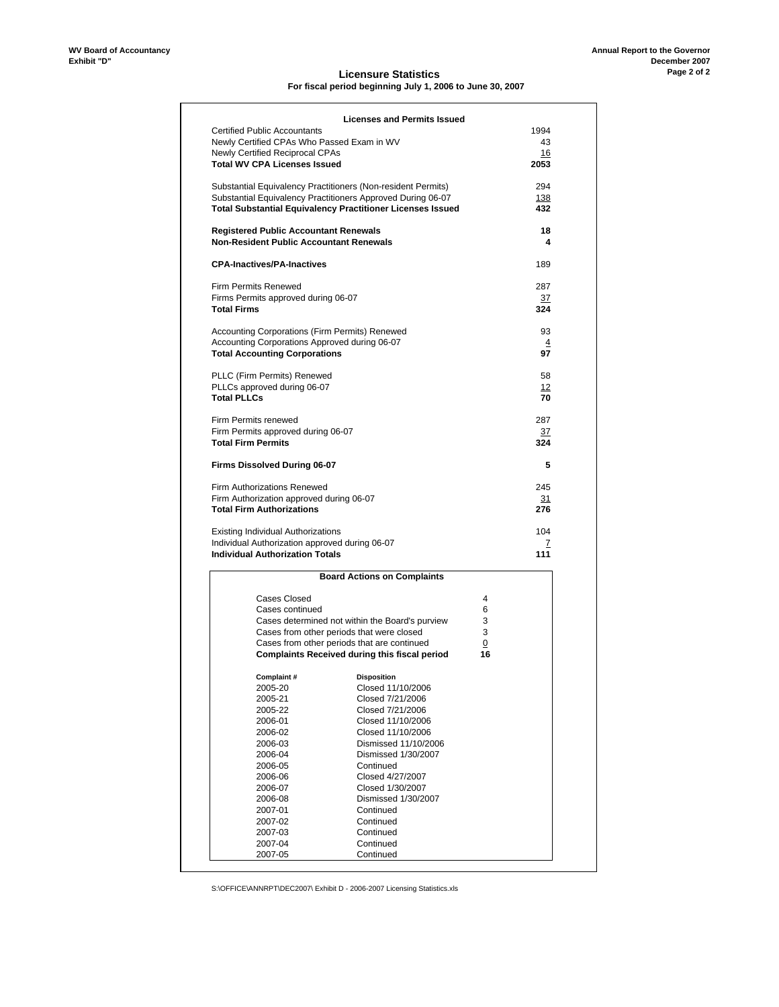#### **Licensure Statistics For fiscal period beginning July 1, 2006 to June 30, 2007**

|                                                                                                | <b>Licenses and Permits Issued</b>                                                                  |         |                |
|------------------------------------------------------------------------------------------------|-----------------------------------------------------------------------------------------------------|---------|----------------|
| <b>Certified Public Accountants</b>                                                            |                                                                                                     |         | 1994           |
|                                                                                                | Newly Certified CPAs Who Passed Exam in WV                                                          |         | 43             |
| <b>Newly Certified Reciprocal CPAs</b>                                                         |                                                                                                     |         | 16             |
| <b>Total WV CPA Licenses Issued</b>                                                            |                                                                                                     |         | 2053           |
|                                                                                                | Substantial Equivalency Practitioners (Non-resident Permits)                                        |         | 294            |
|                                                                                                | Substantial Equivalency Practitioners Approved During 06-07                                         |         | <u>138</u>     |
|                                                                                                | <b>Total Substantial Equivalency Practitioner Licenses Issued</b>                                   |         | 432            |
| <b>Registered Public Accountant Renewals</b><br><b>Non-Resident Public Accountant Renewals</b> |                                                                                                     |         | 18<br>4        |
|                                                                                                |                                                                                                     |         |                |
| <b>CPA-Inactives/PA-Inactives</b>                                                              |                                                                                                     |         | 189            |
| <b>Firm Permits Renewed</b>                                                                    |                                                                                                     |         | 287            |
| Firms Permits approved during 06-07                                                            |                                                                                                     |         | 37             |
| <b>Total Firms</b>                                                                             |                                                                                                     |         | 324            |
|                                                                                                | Accounting Corporations (Firm Permits) Renewed                                                      |         | 93             |
|                                                                                                | Accounting Corporations Approved during 06-07                                                       |         | $\overline{4}$ |
| <b>Total Accounting Corporations</b>                                                           |                                                                                                     |         | 97             |
| PLLC (Firm Permits) Renewed                                                                    |                                                                                                     |         | 58             |
| PLLCs approved during 06-07                                                                    |                                                                                                     |         | 12             |
| <b>Total PLLCs</b>                                                                             |                                                                                                     |         | 70             |
| Firm Permits renewed                                                                           |                                                                                                     |         | 287            |
| Firm Permits approved during 06-07                                                             |                                                                                                     |         | 37             |
| <b>Total Firm Permits</b>                                                                      |                                                                                                     |         | 324            |
|                                                                                                |                                                                                                     |         |                |
| Firms Dissolved During 06-07                                                                   |                                                                                                     |         | 5              |
| <b>Firm Authorizations Renewed</b>                                                             |                                                                                                     |         | 245            |
|                                                                                                |                                                                                                     |         | 31             |
| Firm Authorization approved during 06-07<br><b>Total Firm Authorizations</b>                   |                                                                                                     |         | 276            |
|                                                                                                |                                                                                                     |         | 104            |
| <b>Existing Individual Authorizations</b>                                                      | Individual Authorization approved during 06-07                                                      |         | 7              |
| <b>Individual Authorization Totals</b>                                                         |                                                                                                     |         | 111            |
|                                                                                                | <b>Board Actions on Complaints</b>                                                                  |         |                |
|                                                                                                |                                                                                                     |         |                |
| Cases Closed                                                                                   |                                                                                                     | 4       |                |
| Cases continued                                                                                |                                                                                                     | 6       |                |
|                                                                                                | Cases determined not within the Board's purview                                                     | 3       |                |
|                                                                                                | Cases from other periods that were closed                                                           | 3       |                |
|                                                                                                | Cases from other periods that are continued<br><b>Complaints Received during this fiscal period</b> | 0<br>16 |                |
|                                                                                                |                                                                                                     |         |                |
| Complaint #                                                                                    | Disposition                                                                                         |         |                |
| 2005-20                                                                                        | Closed 11/10/2006                                                                                   |         |                |
| 2005-21                                                                                        | Closed 7/21/2006                                                                                    |         |                |
| 2005-22                                                                                        | Closed 7/21/2006                                                                                    |         |                |
| 2006-01                                                                                        | Closed 11/10/2006                                                                                   |         |                |
| 2006-02                                                                                        | Closed 11/10/2006                                                                                   |         |                |
| 2006-03                                                                                        | Dismissed 11/10/2006                                                                                |         |                |
| 2006-04                                                                                        | Dismissed 1/30/2007                                                                                 |         |                |
| 2006-05                                                                                        | Continued                                                                                           |         |                |
| 2006-06                                                                                        | Closed 4/27/2007                                                                                    |         |                |
| 2006-07                                                                                        | Closed 1/30/2007                                                                                    |         |                |
| 2006-08                                                                                        | Dismissed 1/30/2007                                                                                 |         |                |
| 2007-01                                                                                        | Continued                                                                                           |         |                |
| 2007-02                                                                                        | Continued                                                                                           |         |                |
| 2007-03<br>2007-04                                                                             | Continued<br>Continued                                                                              |         |                |

S:\OFFICE\ANNRPT\DEC2007\ Exhibit D - 2006-2007 Licensing Statistics.xls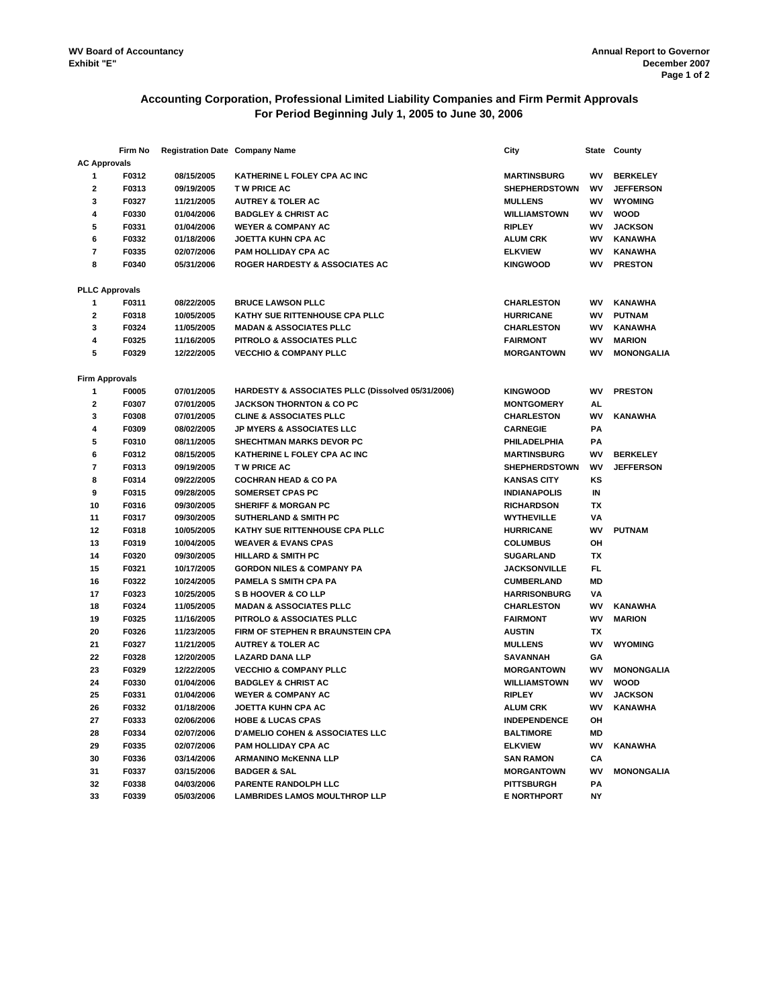# **Accounting Corporation, Professional Limited Liability Companies and Firm Permit Approvals For Period Beginning July 1, 2005 to June 30, 2006**

|                         | Firm No               | <b>Registration Date Company Name</b> |                                                   | City                 | <b>State</b> | County            |
|-------------------------|-----------------------|---------------------------------------|---------------------------------------------------|----------------------|--------------|-------------------|
| <b>AC Approvals</b>     |                       |                                       |                                                   |                      |              |                   |
| $\mathbf{1}$            | F0312                 | 08/15/2005                            | KATHERINE L FOLEY CPA AC INC                      | <b>MARTINSBURG</b>   | WV           | <b>BERKELEY</b>   |
| $\mathbf{2}$            | F0313                 | 09/19/2005                            | <b>TW PRICE AC</b>                                | <b>SHEPHERDSTOWN</b> | wv           | <b>JEFFERSON</b>  |
| 3                       | F0327                 | 11/21/2005                            | <b>AUTREY &amp; TOLER AC</b>                      | <b>MULLENS</b>       | WV           | <b>WYOMING</b>    |
| 4                       | F0330                 | 01/04/2006                            | <b>BADGLEY &amp; CHRIST AC</b>                    | <b>WILLIAMSTOWN</b>  | WV           | <b>WOOD</b>       |
| 5                       | F0331                 | 01/04/2006                            | <b>WEYER &amp; COMPANY AC</b>                     | <b>RIPLEY</b>        | wv           | <b>JACKSON</b>    |
| 6                       | F0332                 | 01/18/2006                            | JOETTA KUHN CPA AC                                | <b>ALUM CRK</b>      | <b>WV</b>    | <b>KANAWHA</b>    |
| $\overline{\mathbf{r}}$ | F0335                 | 02/07/2006                            | PAM HOLLIDAY CPA AC                               | <b>ELKVIEW</b>       | WV           | <b>KANAWHA</b>    |
| 8                       | F0340                 | 05/31/2006                            | ROGER HARDESTY & ASSOCIATES AC                    | <b>KINGWOOD</b>      | WV           | <b>PRESTON</b>    |
|                         | <b>PLLC Approvals</b> |                                       |                                                   |                      |              |                   |
| 1                       | F0311                 | 08/22/2005                            | <b>BRUCE LAWSON PLLC</b>                          | <b>CHARLESTON</b>    | WV           | <b>KANAWHA</b>    |
| $\mathbf{2}$            | F0318                 | 10/05/2005                            | KATHY SUE RITTENHOUSE CPA PLLC                    | <b>HURRICANE</b>     | WV           | <b>PUTNAM</b>     |
| 3                       | F0324                 | 11/05/2005                            | <b>MADAN &amp; ASSOCIATES PLLC</b>                | <b>CHARLESTON</b>    | WV           | <b>KANAWHA</b>    |
| 4                       | F0325                 | 11/16/2005                            | PITROLO & ASSOCIATES PLLC                         | <b>FAIRMONT</b>      | WV           | <b>MARION</b>     |
| 5                       | F0329                 |                                       |                                                   | <b>MORGANTOWN</b>    | WV           | <b>MONONGALIA</b> |
|                         |                       | 12/22/2005                            | <b>VECCHIO &amp; COMPANY PLLC</b>                 |                      |              |                   |
| <b>Firm Approvals</b>   |                       |                                       |                                                   |                      |              |                   |
| 1                       | F0005                 | 07/01/2005                            | HARDESTY & ASSOCIATES PLLC (Dissolved 05/31/2006) | <b>KINGWOOD</b>      | WV           | <b>PRESTON</b>    |
| $\mathbf{2}$            | F0307                 | 07/01/2005                            | <b>JACKSON THORNTON &amp; CO PC</b>               | <b>MONTGOMERY</b>    | AL.          |                   |
| 3                       | F0308                 | 07/01/2005                            | <b>CLINE &amp; ASSOCIATES PLLC</b>                | <b>CHARLESTON</b>    | WV           | <b>KANAWHA</b>    |
| 4                       | F0309                 | 08/02/2005                            | <b>JP MYERS &amp; ASSOCIATES LLC</b>              | <b>CARNEGIE</b>      | PA           |                   |
| 5                       | F0310                 | 08/11/2005                            | <b>SHECHTMAN MARKS DEVOR PC</b>                   | PHILADELPHIA         | PA           |                   |
| 6                       | F0312                 | 08/15/2005                            | KATHERINE L FOLEY CPA AC INC                      | <b>MARTINSBURG</b>   | WV           | <b>BERKELEY</b>   |
| $\overline{7}$          | F0313                 | 09/19/2005                            | <b>TW PRICE AC</b>                                | <b>SHEPHERDSTOWN</b> | WV           | <b>JEFFERSON</b>  |
| 8                       | F0314                 | 09/22/2005                            | <b>COCHRAN HEAD &amp; CO PA</b>                   | <b>KANSAS CITY</b>   | κs           |                   |
| 9                       | F0315                 | 09/28/2005                            | <b>SOMERSET CPAS PC</b>                           | <b>INDIANAPOLIS</b>  | IN           |                   |
| 10                      | F0316                 | 09/30/2005                            | <b>SHERIFF &amp; MORGAN PC</b>                    | <b>RICHARDSON</b>    | TX           |                   |
| 11                      | F0317                 | 09/30/2005                            | <b>SUTHERLAND &amp; SMITH PC</b>                  | <b>WYTHEVILLE</b>    | ٧Α           |                   |
| 12                      | F0318                 | 10/05/2005                            | KATHY SUE RITTENHOUSE CPA PLLC                    | <b>HURRICANE</b>     | WV           | <b>PUTNAM</b>     |
| 13                      | F0319                 | 10/04/2005                            | <b>WEAVER &amp; EVANS CPAS</b>                    | <b>COLUMBUS</b>      | OH           |                   |
| 14                      | F0320                 | 09/30/2005                            | <b>HILLARD &amp; SMITH PC</b>                     | <b>SUGARLAND</b>     | <b>TX</b>    |                   |
| 15                      | F0321                 | 10/17/2005                            | <b>GORDON NILES &amp; COMPANY PA</b>              | <b>JACKSONVILLE</b>  | FL.          |                   |
| 16                      | F0322                 | 10/24/2005                            | <b>PAMELA S SMITH CPA PA</b>                      | <b>CUMBERLAND</b>    | MD           |                   |
| 17                      | F0323                 | 10/25/2005                            | <b>S B HOOVER &amp; CO LLP</b>                    | <b>HARRISONBURG</b>  | VA           |                   |
| 18                      | F0324                 | 11/05/2005                            | <b>MADAN &amp; ASSOCIATES PLLC</b>                | <b>CHARLESTON</b>    | WV           | <b>KANAWHA</b>    |
| 19                      | F0325                 | 11/16/2005                            | <b>PITROLO &amp; ASSOCIATES PLLC</b>              | <b>FAIRMONT</b>      | WV           | <b>MARION</b>     |
| 20                      | F0326                 | 11/23/2005                            | FIRM OF STEPHEN R BRAUNSTEIN CPA                  | <b>AUSTIN</b>        | ТX           |                   |
| 21                      | F0327                 | 11/21/2005                            | <b>AUTREY &amp; TOLER AC</b>                      | <b>MULLENS</b>       | WV           | <b>WYOMING</b>    |
| 22                      | F0328                 | 12/20/2005                            | <b>LAZARD DANA LLP</b>                            | <b>SAVANNAH</b>      | GA           |                   |
| 23                      | F0329                 | 12/22/2005                            | <b>VECCHIO &amp; COMPANY PLLC</b>                 | <b>MORGANTOWN</b>    | W٧           | <b>MONONGALIA</b> |
| 24                      | F0330                 | 01/04/2006                            | <b>BADGLEY &amp; CHRIST AC</b>                    | <b>WILLIAMSTOWN</b>  | WV           | <b>WOOD</b>       |
| 25                      | F0331                 | 01/04/2006                            | <b>WEYER &amp; COMPANY AC</b>                     | <b>RIPLEY</b>        | WV           | <b>JACKSON</b>    |
| 26                      | F0332                 | 01/18/2006                            | <b>JOETTA KUHN CPA AC</b>                         | <b>ALUM CRK</b>      | WV           | <b>KANAWHA</b>    |
| 27                      | F0333                 | 02/06/2006                            | <b>HOBE &amp; LUCAS CPAS</b>                      | <b>INDEPENDENCE</b>  | OH           |                   |
| 28                      | F0334                 | 02/07/2006                            | <b>D'AMELIO COHEN &amp; ASSOCIATES LLC</b>        | <b>BALTIMORE</b>     | MD           |                   |
| 29                      | F0335                 | 02/07/2006                            | PAM HOLLIDAY CPA AC                               | <b>ELKVIEW</b>       | WV           | <b>KANAWHA</b>    |
| 30                      | F0336                 | 03/14/2006                            | <b>ARMANINO McKENNA LLP</b>                       | <b>SAN RAMON</b>     | CA           |                   |
| 31                      | F0337                 | 03/15/2006                            | <b>BADGER &amp; SAL</b>                           | <b>MORGANTOWN</b>    | WV           | <b>MONONGALIA</b> |
| 32                      | F0338                 | 04/03/2006                            | PARENTE RANDOLPH LLC                              | <b>PITTSBURGH</b>    | PA           |                   |
| 33                      | F0339                 | 05/03/2006                            | <b>LAMBRIDES LAMOS MOULTHROP LLP</b>              | <b>E NORTHPORT</b>   | <b>NY</b>    |                   |
|                         |                       |                                       |                                                   |                      |              |                   |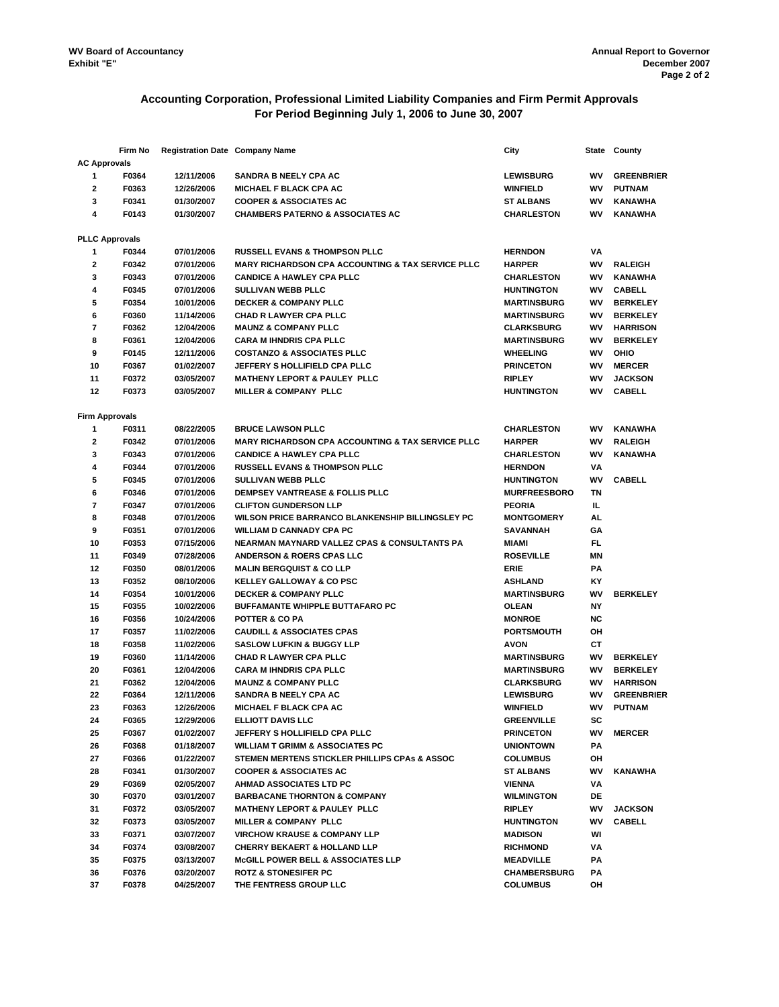# **Accounting Corporation, Professional Limited Liability Companies and Firm Permit Approvals For Period Beginning July 1, 2006 to June 30, 2007**

|                       | Firm No               | <b>Registration Date Company Name</b> |                                                              | City                              |           | State County      |
|-----------------------|-----------------------|---------------------------------------|--------------------------------------------------------------|-----------------------------------|-----------|-------------------|
| <b>AC Approvals</b>   |                       |                                       |                                                              |                                   |           |                   |
| 1                     | F0364                 | 12/11/2006                            | <b>SANDRA B NEELY CPA AC</b>                                 | <b>LEWISBURG</b>                  | WV        | <b>GREENBRIER</b> |
| $\mathbf{2}$          | F0363                 | 12/26/2006                            | <b>MICHAEL F BLACK CPA AC</b>                                | <b>WINFIELD</b>                   | WV        | <b>PUTNAM</b>     |
| 3                     | F0341                 | 01/30/2007                            | <b>COOPER &amp; ASSOCIATES AC</b>                            | <b>ST ALBANS</b>                  | WV        | KANAWHA           |
| 4                     | F0143                 | 01/30/2007                            | <b>CHAMBERS PATERNO &amp; ASSOCIATES AC</b>                  | <b>CHARLESTON</b>                 | WV        | <b>KANAWHA</b>    |
|                       |                       |                                       |                                                              |                                   |           |                   |
|                       | <b>PLLC Approvals</b> |                                       |                                                              |                                   |           |                   |
| 1                     | F0344                 | 07/01/2006                            | <b>RUSSELL EVANS &amp; THOMPSON PLLC</b>                     | <b>HERNDON</b>                    | VA        |                   |
| 2                     | F0342                 | 07/01/2006                            | <b>MARY RICHARDSON CPA ACCOUNTING &amp; TAX SERVICE PLLC</b> | <b>HARPER</b>                     | WV        | <b>RALEIGH</b>    |
| 3                     | F0343                 | 07/01/2006                            | <b>CANDICE A HAWLEY CPA PLLC</b>                             | <b>CHARLESTON</b>                 | WV        | <b>KANAWHA</b>    |
| 4                     | F0345                 | 07/01/2006                            | <b>SULLIVAN WEBB PLLC</b>                                    | <b>HUNTINGTON</b>                 | WV        | CABELL            |
| 5                     | F0354                 | 10/01/2006                            | <b>DECKER &amp; COMPANY PLLC</b>                             | <b>MARTINSBURG</b>                | wv        | <b>BERKELEY</b>   |
| 6                     | F0360                 | 11/14/2006                            | <b>CHAD R LAWYER CPA PLLC</b>                                | <b>MARTINSBURG</b>                | WV        | <b>BERKELEY</b>   |
| 7                     | F0362                 | 12/04/2006                            | <b>MAUNZ &amp; COMPANY PLLC</b>                              | <b>CLARKSBURG</b>                 | WV        | <b>HARRISON</b>   |
| 8                     | F0361                 | 12/04/2006                            | <b>CARA M IHNDRIS CPA PLLC</b>                               | <b>MARTINSBURG</b>                | WV        | <b>BERKELEY</b>   |
| 9                     | F0145                 | 12/11/2006                            | <b>COSTANZO &amp; ASSOCIATES PLLC</b>                        | <b>WHEELING</b>                   | WV        | OHIO              |
| 10                    | F0367                 | 01/02/2007                            | JEFFERY S HOLLIFIELD CPA PLLC                                | <b>PRINCETON</b>                  | W٧        | <b>MERCER</b>     |
| 11                    | F0372                 | 03/05/2007                            | <b>MATHENY LEPORT &amp; PAULEY PLLC</b>                      | <b>RIPLEY</b>                     | wv        | <b>JACKSON</b>    |
| 12                    | F0373                 | 03/05/2007                            | <b>MILLER &amp; COMPANY PLLC</b>                             | <b>HUNTINGTON</b>                 | wv        | <b>CABELL</b>     |
|                       |                       |                                       |                                                              |                                   |           |                   |
| <b>Firm Approvals</b> |                       |                                       |                                                              |                                   |           |                   |
| 1                     | F0311                 | 08/22/2005                            | <b>BRUCE LAWSON PLLC</b>                                     | <b>CHARLESTON</b>                 | WV        | <b>KANAWHA</b>    |
| 2                     | F0342                 | 07/01/2006                            | <b>MARY RICHARDSON CPA ACCOUNTING &amp; TAX SERVICE PLLC</b> | <b>HARPER</b>                     | WV        | <b>RALEIGH</b>    |
| 3                     | F0343                 | 07/01/2006                            | <b>CANDICE A HAWLEY CPA PLLC</b>                             | <b>CHARLESTON</b>                 | WV        | <b>KANAWHA</b>    |
| 4                     | F0344                 | 07/01/2006                            | <b>RUSSELL EVANS &amp; THOMPSON PLLC</b>                     | <b>HERNDON</b>                    | VA        |                   |
| 5                     | F0345                 | 07/01/2006                            | <b>SULLIVAN WEBB PLLC</b>                                    | <b>HUNTINGTON</b>                 | WV        | <b>CABELL</b>     |
| 6                     | F0346                 | 07/01/2006                            | <b>DEMPSEY VANTREASE &amp; FOLLIS PLLC</b>                   | <b>MURFREESBORO</b>               | <b>TN</b> |                   |
| 7                     | F0347                 | 07/01/2006                            | <b>CLIFTON GUNDERSON LLP</b>                                 | <b>PEORIA</b>                     | IL.       |                   |
| 8                     | F0348                 | 07/01/2006                            | WILSON PRICE BARRANCO BLANKENSHIP BILLINGSLEY PC             | <b>MONTGOMERY</b>                 | AL.       |                   |
| 9                     | F0351                 | 07/01/2006                            | <b>WILLIAM D CANNADY CPA PC</b>                              | <b>SAVANNAH</b>                   | GA        |                   |
| 10                    | F0353                 | 07/15/2006                            | NEARMAN MAYNARD VALLEZ CPAS & CONSULTANTS PA                 | <b>MIAMI</b>                      | FL.       |                   |
| 11                    | F0349                 | 07/28/2006                            | <b>ANDERSON &amp; ROERS CPAS LLC</b>                         | <b>ROSEVILLE</b>                  | <b>MN</b> |                   |
| 12                    | F0350                 | 08/01/2006                            | <b>MALIN BERGQUIST &amp; CO LLP</b>                          | <b>ERIE</b>                       | PA        |                   |
| 13                    | F0352                 | 08/10/2006                            | <b>KELLEY GALLOWAY &amp; CO PSC</b>                          | <b>ASHLAND</b>                    | ΚY        |                   |
| 14                    | F0354                 | 10/01/2006                            | <b>DECKER &amp; COMPANY PLLC</b>                             | <b>MARTINSBURG</b>                | WV        | <b>BERKELEY</b>   |
| 15                    | F0355                 | 10/02/2006                            | <b>BUFFAMANTE WHIPPLE BUTTAFARO PC</b>                       | <b>OLEAN</b>                      | NY        |                   |
| 16                    | F0356                 | 10/24/2006                            | <b>POTTER &amp; CO PA</b>                                    | <b>MONROE</b>                     | <b>NC</b> |                   |
| 17                    | F0357                 | 11/02/2006                            | <b>CAUDILL &amp; ASSOCIATES CPAS</b>                         | <b>PORTSMOUTH</b>                 | OH        |                   |
| 18                    | F0358                 | 11/02/2006                            | <b>SASLOW LUFKIN &amp; BUGGY LLP</b>                         | <b>AVON</b>                       | СT        |                   |
| 19                    | F0360                 | 11/14/2006                            | <b>CHAD R LAWYER CPA PLLC</b>                                | <b>MARTINSBURG</b>                | WV        | <b>BERKELEY</b>   |
| 20                    | F0361                 | 12/04/2006                            | <b>CARA M IHNDRIS CPA PLLC</b>                               | <b>MARTINSBURG</b>                | W٧        | <b>BERKELEY</b>   |
| 21                    | F0362                 | 12/04/2006                            | <b>MAUNZ &amp; COMPANY PLLC</b>                              | <b>CLARKSBURG</b>                 | WV        | <b>HARRISON</b>   |
| 22                    | F0364                 | 12/11/2006                            | SANDRA B NEELY CPA AC                                        | <b>LEWISBURG</b>                  | WV        | <b>GREENBRIER</b> |
| 23                    | F0363                 | 12/26/2006                            | <b>MICHAEL F BLACK CPA AC</b>                                | <b>WINFIELD</b>                   | WV        | <b>PUTNAM</b>     |
| 24                    | F0365                 | 12/29/2006                            | ELLIOTT DAVIS LLC                                            | <b>GREENVILLE</b>                 | sc        |                   |
| 25                    | F0367                 | 01/02/2007                            | JEFFERY S HOLLIFIELD CPA PLLC                                | <b>PRINCETON</b>                  | W٧        | <b>MERCER</b>     |
| 26                    | F0368                 | 01/18/2007                            | <b>WILLIAM T GRIMM &amp; ASSOCIATES PC</b>                   | <b>UNIONTOWN</b>                  | PA        |                   |
| 27                    | F0366                 | 01/22/2007                            | STEMEN MERTENS STICKLER PHILLIPS CPAs & ASSOC                | <b>COLUMBUS</b>                   | OH        |                   |
| 28                    | F0341                 | 01/30/2007                            | <b>COOPER &amp; ASSOCIATES AC</b>                            |                                   | WV        |                   |
| 29                    | F0369                 | 02/05/2007                            | <b>AHMAD ASSOCIATES LTD PC</b>                               | <b>ST ALBANS</b><br><b>VIENNA</b> | VA        | KANAWHA           |
| 30                    | F0370                 | 03/01/2007                            | <b>BARBACANE THORNTON &amp; COMPANY</b>                      | <b>WILMINGTON</b>                 | DE        |                   |
| 31                    | F0372                 | 03/05/2007                            | <b>MATHENY LEPORT &amp; PAULEY PLLC</b>                      | <b>RIPLEY</b>                     | W٧        | <b>JACKSON</b>    |
|                       |                       |                                       | <b>MILLER &amp; COMPANY PLLC</b>                             |                                   |           |                   |
| 32                    | F0373                 | 03/05/2007                            |                                                              | <b>HUNTINGTON</b>                 | wv        | <b>CABELL</b>     |
| 33                    | F0371                 | 03/07/2007                            | <b>VIRCHOW KRAUSE &amp; COMPANY LLP</b>                      | <b>MADISON</b>                    | WI        |                   |
| 34                    | F0374                 | 03/08/2007                            | <b>CHERRY BEKAERT &amp; HOLLAND LLP</b>                      | <b>RICHMOND</b>                   | VA        |                   |
| 35                    | F0375                 | 03/13/2007                            | McGILL POWER BELL & ASSOCIATES LLP                           | <b>MEADVILLE</b>                  | PA        |                   |
| 36                    | F0376                 | 03/20/2007                            | <b>ROTZ &amp; STONESIFER PC</b>                              | <b>CHAMBERSBURG</b>               | PA        |                   |
| 37                    | F0378                 | 04/25/2007                            | THE FENTRESS GROUP LLC                                       | <b>COLUMBUS</b>                   | OH        |                   |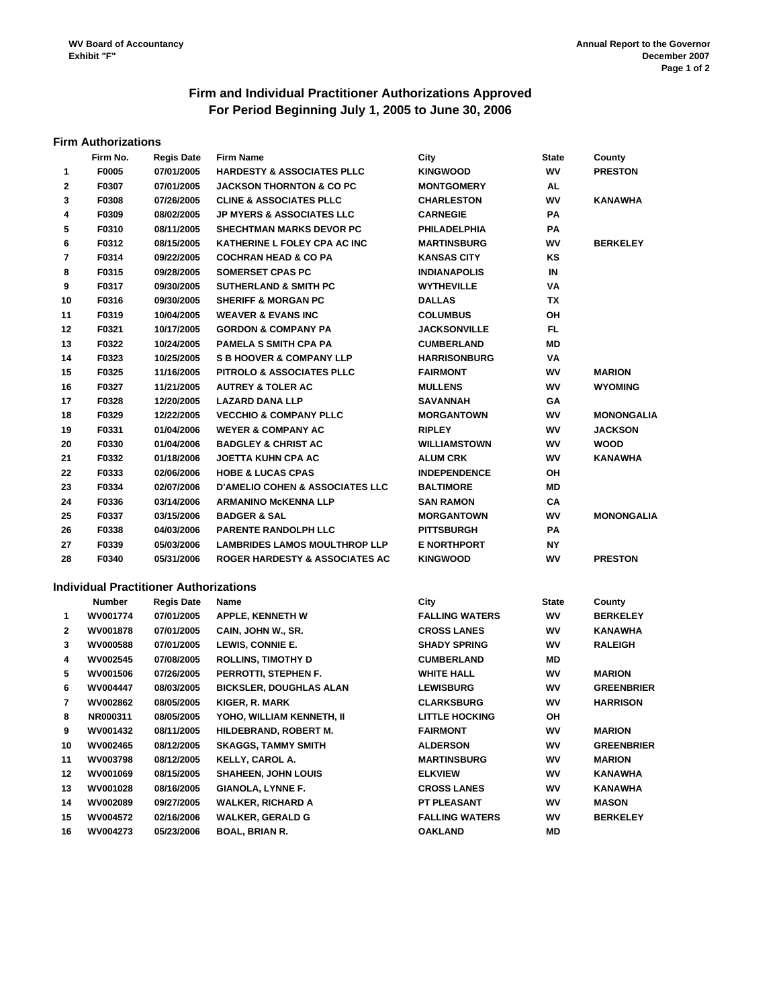# **Firm and Individual Practitioner Authorizations Approved For Period Beginning July 1, 2005 to June 30, 2006**

#### **Firm Authorizations**

|                | Firm No.        | <b>Regis Date</b>                             | <b>Firm Name</b>                           | City                  | <b>State</b> | County            |
|----------------|-----------------|-----------------------------------------------|--------------------------------------------|-----------------------|--------------|-------------------|
| 1              | F0005           | 07/01/2005                                    | <b>HARDESTY &amp; ASSOCIATES PLLC</b>      | <b>KINGWOOD</b>       | WV           | <b>PRESTON</b>    |
| 2              | F0307           | 07/01/2005                                    | <b>JACKSON THORNTON &amp; CO PC</b>        | <b>MONTGOMERY</b>     | AL           |                   |
| 3              | F0308           | 07/26/2005                                    | <b>CLINE &amp; ASSOCIATES PLLC</b>         | <b>CHARLESTON</b>     | WV           | KANAWHA           |
| 4              | F0309           | 08/02/2005                                    | <b>JP MYERS &amp; ASSOCIATES LLC</b>       | <b>CARNEGIE</b>       | РA           |                   |
| 5              | F0310           | 08/11/2005                                    | <b>SHECHTMAN MARKS DEVOR PC</b>            | <b>PHILADELPHIA</b>   | РA           |                   |
| 6              | F0312           | 08/15/2005                                    | KATHERINE L FOLEY CPA AC INC               | <b>MARTINSBURG</b>    | W٧           | <b>BERKELEY</b>   |
| $\overline{7}$ | F0314           | 09/22/2005                                    | <b>COCHRAN HEAD &amp; CO PA</b>            | <b>KANSAS CITY</b>    | ΚS           |                   |
| 8              | F0315           | 09/28/2005                                    | <b>SOMERSET CPAS PC</b>                    | <b>INDIANAPOLIS</b>   | IN           |                   |
| 9              | F0317           | 09/30/2005                                    | <b>SUTHERLAND &amp; SMITH PC</b>           | <b>WYTHEVILLE</b>     | VA           |                   |
| 10             | F0316           | 09/30/2005                                    | <b>SHERIFF &amp; MORGAN PC</b>             | <b>DALLAS</b>         | ΤХ           |                   |
| 11             | F0319           | 10/04/2005                                    | <b>WEAVER &amp; EVANS INC</b>              | <b>COLUMBUS</b>       | ΟH           |                   |
| 12             | F0321           | 10/17/2005                                    | <b>GORDON &amp; COMPANY PA</b>             | <b>JACKSONVILLE</b>   | FL           |                   |
| 13             | F0322           | 10/24/2005                                    | <b>PAMELA S SMITH CPA PA</b>               | <b>CUMBERLAND</b>     | ΜD           |                   |
| 14             | F0323           | 10/25/2005                                    | <b>S B HOOVER &amp; COMPANY LLP</b>        | <b>HARRISONBURG</b>   | VA           |                   |
| 15             | F0325           | 11/16/2005                                    | PITROLO & ASSOCIATES PLLC                  | <b>FAIRMONT</b>       | W٧           | <b>MARION</b>     |
| 16             | F0327           | 11/21/2005                                    | <b>AUTREY &amp; TOLER AC</b>               | <b>MULLENS</b>        | W٧           | <b>WYOMING</b>    |
| 17             | F0328           | 12/20/2005                                    | <b>LAZARD DANA LLP</b>                     | <b>SAVANNAH</b>       | GА           |                   |
| 18             | F0329           | 12/22/2005                                    | <b>VECCHIO &amp; COMPANY PLLC</b>          | <b>MORGANTOWN</b>     | W٧           | <b>MONONGALIA</b> |
| 19             | F0331           | 01/04/2006                                    | <b>WEYER &amp; COMPANY AC</b>              | <b>RIPLEY</b>         | W٧           | <b>JACKSON</b>    |
| 20             | F0330           | 01/04/2006                                    | <b>BADGLEY &amp; CHRIST AC</b>             | <b>WILLIAMSTOWN</b>   | W٧           | <b>WOOD</b>       |
| 21             | F0332           | 01/18/2006                                    | <b>JOETTA KUHN CPA AC</b>                  | <b>ALUM CRK</b>       | W٧           | <b>KANAWHA</b>    |
| 22             | F0333           | 02/06/2006                                    | <b>HOBE &amp; LUCAS CPAS</b>               | <b>INDEPENDENCE</b>   | ΟH           |                   |
| 23             | F0334           | 02/07/2006                                    | <b>D'AMELIO COHEN &amp; ASSOCIATES LLC</b> | <b>BALTIMORE</b>      | ΜD           |                   |
| 24             | F0336           | 03/14/2006                                    | <b>ARMANINO MCKENNA LLP</b>                | <b>SAN RAMON</b>      | СA           |                   |
| 25             | F0337           | 03/15/2006                                    | <b>BADGER &amp; SAL</b>                    | <b>MORGANTOWN</b>     | W٧           | <b>MONONGALIA</b> |
| 26             | F0338           | 04/03/2006                                    | PARENTE RANDOLPH LLC                       | <b>PITTSBURGH</b>     | РA           |                   |
| 27             | F0339           | 05/03/2006                                    | <b>LAMBRIDES LAMOS MOULTHROP LLP</b>       | <b>E NORTHPORT</b>    | ΝY           |                   |
| 28             | F0340           | 05/31/2006                                    | <b>ROGER HARDESTY &amp; ASSOCIATES AC</b>  | <b>KINGWOOD</b>       | WV           | <b>PRESTON</b>    |
|                |                 |                                               |                                            |                       |              |                   |
|                |                 | <b>Individual Practitioner Authorizations</b> |                                            |                       |              |                   |
|                | Number          | <b>Regis Date</b>                             | Name                                       | City                  | <b>State</b> | County            |
| 1              | WV001774        | 07/01/2005                                    | <b>APPLE, KENNETH W</b>                    | <b>FALLING WATERS</b> | WV           | <b>BERKELEY</b>   |
| 2              | WV001878        | 07/01/2005                                    | CAIN, JOHN W., SR.                         | <b>CROSS LANES</b>    | W٧           | <b>KANAWHA</b>    |
| 3              | <b>WV000588</b> | 07/01/2005                                    | LEWIS, CONNIE E.                           | <b>SHADY SPRING</b>   | W٧           | <b>RALEIGH</b>    |
| 4              | WV002545        | 07/08/2005                                    | <b>ROLLINS, TIMOTHY D</b>                  | <b>CUMBERLAND</b>     | ΜD           |                   |
| 5              | WV001506        | 07/26/2005                                    | PERROTTI, STEPHEN F.                       | <b>WHITE HALL</b>     | WV           | <b>MARION</b>     |
| 6              | WV004447        | 08/03/2005                                    | <b>BICKSLER, DOUGHLAS ALAN</b>             | <b>LEWISBURG</b>      | <b>WV</b>    | <b>GREENBRIER</b> |
| 7              | WV002862        | 08/05/2005                                    | KIGER, R. MARK                             | <b>CLARKSBURG</b>     | W٧           | <b>HARRISON</b>   |
| 8              | NR000311        | 08/05/2005                                    | YOHO, WILLIAM KENNETH, II                  | <b>LITTLE HOCKING</b> | ΟH           |                   |
| 9              | WV001432        | 08/11/2005                                    | HILDEBRAND, ROBERT M.                      | <b>FAIRMONT</b>       | WV           | <b>MARION</b>     |
| 10             | WV002465        | 08/12/2005                                    | <b>SKAGGS, TAMMY SMITH</b>                 | <b>ALDERSON</b>       | WV           | <b>GREENBRIER</b> |
| 11             | <b>WV003798</b> | 08/12/2005                                    | KELLY, CAROL A.                            | <b>MARTINSBURG</b>    | WV           | <b>MARION</b>     |
| 12             | WV001069        | 08/15/2005                                    | <b>SHAHEEN, JOHN LOUIS</b>                 | <b>ELKVIEW</b>        | WV           | KANAWHA           |
| 13             | WV001028        | 08/16/2005                                    | <b>GIANOLA, LYNNE F.</b>                   | <b>CROSS LANES</b>    | WV           | KANAWHA           |
| 14             | WV002089        | 09/27/2005                                    | <b>WALKER, RICHARD A</b>                   | <b>PT PLEASANT</b>    | WV           | <b>MASON</b>      |
| 15             | <b>WV004572</b> | 02/16/2006                                    | <b>WALKER, GERALD G</b>                    | <b>FALLING WATERS</b> | WV           | <b>BERKELEY</b>   |
| 16             | WV004273        | 05/23/2006                                    | <b>BOAL, BRIAN R.</b>                      | <b>OAKLAND</b>        | ΜD           |                   |
|                |                 |                                               |                                            |                       |              |                   |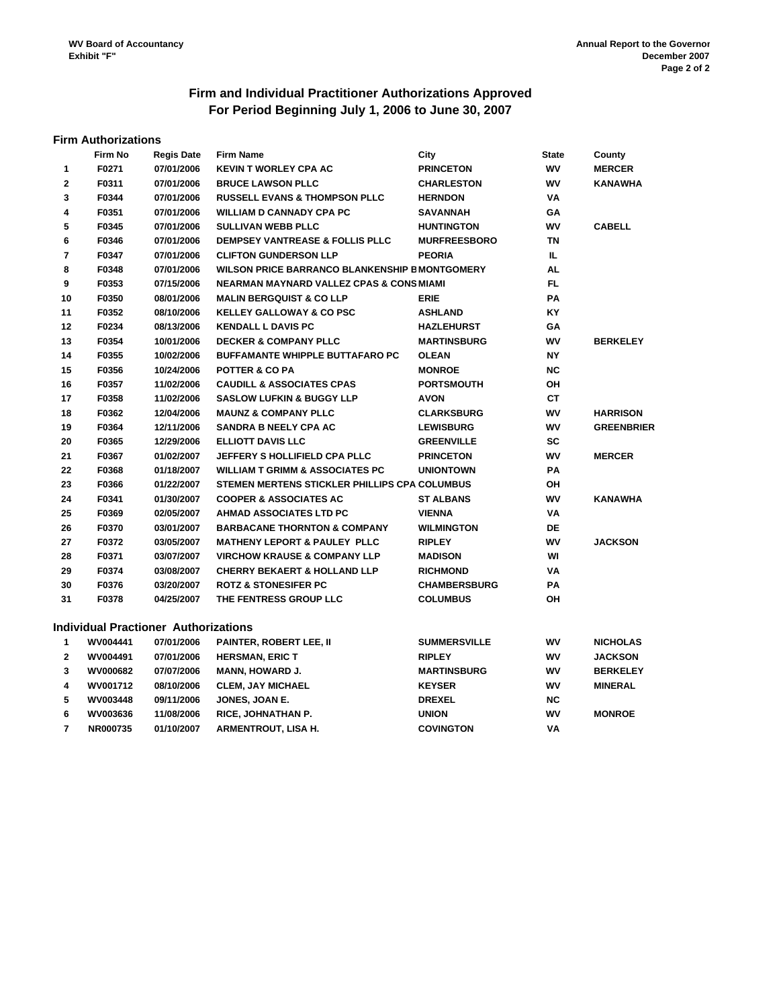# **Firm and Individual Practitioner Authorizations Approved For Period Beginning July 1, 2006 to June 30, 2007**

#### **Firm Authorizations**

|                | Firm No  | <b>Regis Date</b>                    | <b>Firm Name</b>                                      | City                | <b>State</b> | County            |
|----------------|----------|--------------------------------------|-------------------------------------------------------|---------------------|--------------|-------------------|
| 1              | F0271    | 07/01/2006                           | <b>KEVIN T WORLEY CPA AC</b>                          | <b>PRINCETON</b>    | WV           | <b>MERCER</b>     |
| $\mathbf{2}$   | F0311    | 07/01/2006                           | <b>BRUCE LAWSON PLLC</b>                              | <b>CHARLESTON</b>   | WV           | <b>KANAWHA</b>    |
| 3              | F0344    | 07/01/2006                           | <b>RUSSELL EVANS &amp; THOMPSON PLLC</b>              | <b>HERNDON</b>      | VA           |                   |
| 4              | F0351    | 07/01/2006                           | <b>WILLIAM D CANNADY CPA PC</b>                       | <b>SAVANNAH</b>     | GA           |                   |
| 5              | F0345    | 07/01/2006                           | <b>SULLIVAN WEBB PLLC</b>                             | <b>HUNTINGTON</b>   | WV           | <b>CABELL</b>     |
| 6              | F0346    | 07/01/2006                           | DEMPSEY VANTREASE & FOLLIS PLLC                       | <b>MURFREESBORO</b> | ΤN           |                   |
| $\overline{7}$ | F0347    | 07/01/2006                           | <b>CLIFTON GUNDERSON LLP</b>                          | <b>PEORIA</b>       | IL.          |                   |
| 8              | F0348    | 07/01/2006                           | <b>WILSON PRICE BARRANCO BLANKENSHIP E MONTGOMERY</b> |                     | AL           |                   |
| 9              | F0353    | 07/15/2006                           | <b>NEARMAN MAYNARD VALLEZ CPAS &amp; CONS MIAMI</b>   |                     | FL           |                   |
| 10             | F0350    | 08/01/2006                           | <b>MALIN BERGQUIST &amp; CO LLP</b>                   | <b>ERIE</b>         | PA           |                   |
| 11             | F0352    | 08/10/2006                           | <b>KELLEY GALLOWAY &amp; CO PSC</b>                   | <b>ASHLAND</b>      | KY           |                   |
| 12             | F0234    | 08/13/2006                           | <b>KENDALL L DAVIS PC</b>                             | <b>HAZLEHURST</b>   | GΑ           |                   |
| 13             | F0354    | 10/01/2006                           | <b>DECKER &amp; COMPANY PLLC</b>                      | <b>MARTINSBURG</b>  | WV           | <b>BERKELEY</b>   |
| 14             | F0355    | 10/02/2006                           | <b>BUFFAMANTE WHIPPLE BUTTAFARO PC</b>                | <b>OLEAN</b>        | <b>NY</b>    |                   |
| 15             | F0356    | 10/24/2006                           | <b>POTTER &amp; CO PA</b>                             | <b>MONROE</b>       | <b>NC</b>    |                   |
| 16             | F0357    | 11/02/2006                           | <b>CAUDILL &amp; ASSOCIATES CPAS</b>                  | <b>PORTSMOUTH</b>   | OН           |                   |
| 17             | F0358    | 11/02/2006                           | <b>SASLOW LUFKIN &amp; BUGGY LLP</b>                  | <b>AVON</b>         | CT           |                   |
| 18             | F0362    | 12/04/2006                           | <b>MAUNZ &amp; COMPANY PLLC</b>                       | <b>CLARKSBURG</b>   | W٧           | <b>HARRISON</b>   |
| 19             | F0364    | 12/11/2006                           | <b>SANDRA B NEELY CPA AC</b>                          | <b>LEWISBURG</b>    | WV           | <b>GREENBRIER</b> |
| 20             | F0365    | 12/29/2006                           | <b>ELLIOTT DAVIS LLC</b>                              | <b>GREENVILLE</b>   | SC           |                   |
| 21             | F0367    | 01/02/2007                           | <b>JEFFERY S HOLLIFIELD CPA PLLC</b>                  | <b>PRINCETON</b>    | WV           | <b>MERCER</b>     |
| 22             | F0368    | 01/18/2007                           | <b>WILLIAM T GRIMM &amp; ASSOCIATES PC</b>            | <b>UNIONTOWN</b>    | PA           |                   |
| 23             | F0366    | 01/22/2007                           | STEMEN MERTENS STICKLER PHILLIPS CPA COLUMBUS         |                     | OН           |                   |
| 24             | F0341    | 01/30/2007                           | <b>COOPER &amp; ASSOCIATES AC</b>                     | <b>ST ALBANS</b>    | <b>WV</b>    | <b>KANAWHA</b>    |
| 25             | F0369    | 02/05/2007                           | AHMAD ASSOCIATES LTD PC                               | <b>VIENNA</b>       | VA           |                   |
| 26             | F0370    | 03/01/2007                           | <b>BARBACANE THORNTON &amp; COMPANY</b>               | <b>WILMINGTON</b>   | DE           |                   |
| 27             | F0372    | 03/05/2007                           | <b>MATHENY LEPORT &amp; PAULEY PLLC</b>               | <b>RIPLEY</b>       | WV           | <b>JACKSON</b>    |
| 28             | F0371    | 03/07/2007                           | <b>VIRCHOW KRAUSE &amp; COMPANY LLP</b>               | <b>MADISON</b>      | WI           |                   |
| 29             | F0374    | 03/08/2007                           | <b>CHERRY BEKAERT &amp; HOLLAND LLP</b>               | <b>RICHMOND</b>     | VA           |                   |
| 30             | F0376    | 03/20/2007                           | <b>ROTZ &amp; STONESIFER PC</b>                       | <b>CHAMBERSBURG</b> | PA           |                   |
| 31             | F0378    | 04/25/2007                           | THE FENTRESS GROUP LLC                                | <b>COLUMBUS</b>     | OH           |                   |
|                |          | Individual Practioner Authorizations |                                                       |                     |              |                   |
| $\mathbf 1$    | WV004441 | 07/01/2006                           | PAINTER, ROBERT LEE, II                               | <b>SUMMERSVILLE</b> | WV           | <b>NICHOLAS</b>   |
| $\mathbf{2}$   | WV004491 | 07/01/2006                           | <b>HERSMAN, ERIC T</b>                                | <b>RIPLEY</b>       | W٧           | <b>JACKSON</b>    |
| 3              | WV000682 | 07/07/2006                           | <b>MANN, HOWARD J.</b>                                | <b>MARTINSBURG</b>  | WV           | <b>BERKELEY</b>   |
| 4              | WV001712 | 08/10/2006                           | <b>CLEM, JAY MICHAEL</b>                              | <b>KEYSER</b>       | WV           | <b>MINERAL</b>    |
| 5              | WV003448 | 09/11/2006                           | JONES, JOAN E.                                        | <b>DREXEL</b>       | ΝC           |                   |
| 6              | WV003636 | 11/08/2006                           | RICE, JOHNATHAN P.                                    | <b>UNION</b>        | WV           | <b>MONROE</b>     |
| $\overline{7}$ | NR000735 | 01/10/2007                           | <b>ARMENTROUT, LISA H.</b>                            | <b>COVINGTON</b>    | VA           |                   |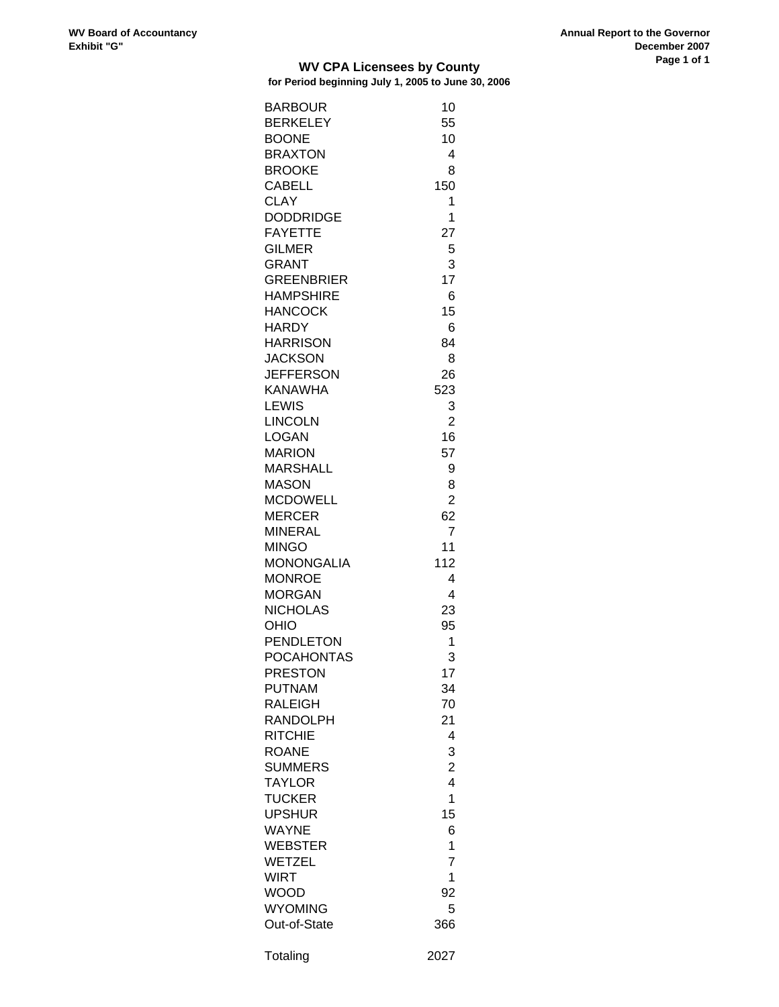#### **WV CPA Licensees by County for Period beginning July 1, 2005 to June 30, 2006**

| <b>BARBOUR</b>    | 10                      |
|-------------------|-------------------------|
| <b>BERKELEY</b>   | 55                      |
| <b>BOONE</b>      | 10                      |
| <b>BRAXTON</b>    | 4                       |
| <b>BROOKE</b>     | 8                       |
| <b>CABELL</b>     | 150                     |
| <b>CLAY</b>       | 1                       |
| <b>DODDRIDGE</b>  | 1                       |
| <b>FAYETTE</b>    | 27                      |
| <b>GILMER</b>     | 5                       |
| <b>GRANT</b>      | 3                       |
| <b>GREENBRIER</b> | 17                      |
| <b>HAMPSHIRE</b>  | 6                       |
| <b>HANCOCK</b>    | 15                      |
| <b>HARDY</b>      | 6                       |
|                   |                         |
| <b>HARRISON</b>   | 84                      |
| <b>JACKSON</b>    | 8                       |
| <b>JEFFERSON</b>  | 26                      |
| KANAWHA           | 523                     |
| LEWIS             | 3                       |
| <b>LINCOLN</b>    | $\overline{2}$          |
| LOGAN             | 16                      |
| <b>MARION</b>     | 57                      |
| <b>MARSHALL</b>   | 9                       |
| <b>MASON</b>      | 8                       |
| <b>MCDOWELL</b>   | $\overline{2}$          |
| <b>MERCER</b>     | 62                      |
| <b>MINERAL</b>    | 7                       |
| MINGO             | 11                      |
| <b>MONONGALIA</b> | 112                     |
| <b>MONROE</b>     | 4                       |
| <b>MORGAN</b>     | 4                       |
| <b>NICHOLAS</b>   | 23                      |
| <b>OHIO</b>       | 95                      |
| <b>PENDLETON</b>  | 1                       |
| <b>POCAHONTAS</b> | 3                       |
| PRESTON           | 17                      |
| <b>PUTNAM</b>     | 34                      |
| <b>RALEIGH</b>    | 70                      |
| RANDOLPH          | 21                      |
| <b>RITCHIE</b>    | 4                       |
| <b>ROANE</b>      | 3                       |
| <b>SUMMERS</b>    | $\overline{\mathbf{c}}$ |
| <b>TAYLOR</b>     | $\overline{4}$          |
| <b>TUCKER</b>     | 1                       |
| <b>UPSHUR</b>     | 15                      |
| <b>WAYNE</b>      | 6                       |
| <b>WEBSTER</b>    | 1                       |
| <b>WETZEL</b>     | 7                       |
| <b>WIRT</b>       | 1                       |
| WOOD              | 92                      |
| <b>WYOMING</b>    | 5                       |
| Out-of-State      | 366                     |
|                   |                         |
| Totaling          | 2027                    |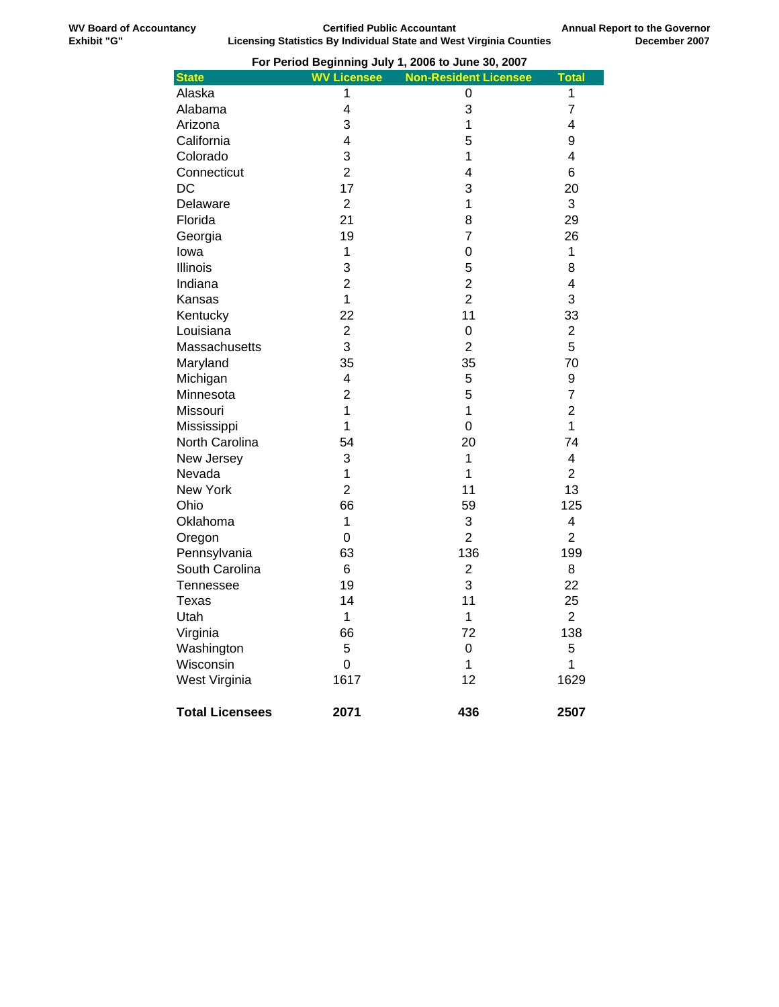| For Period Beginning July 1, 2006 to June 30, 2007 |                    |                              |                         |  |
|----------------------------------------------------|--------------------|------------------------------|-------------------------|--|
| <b>State</b>                                       | <b>WV Licensee</b> | <b>Non-Resident Licensee</b> | <b>Total</b>            |  |
| Alaska                                             | 1                  | 0                            | 1                       |  |
| Alabama                                            | 4                  | 3                            | 7                       |  |
| Arizona                                            | 3                  | 1                            | 4                       |  |
| California                                         | 4                  | 5                            | 9                       |  |
| Colorado                                           | 3                  | 1                            | 4                       |  |
| Connecticut                                        | $\overline{2}$     | 4                            | 6                       |  |
| DC                                                 | 17                 | 3                            | 20                      |  |
| Delaware                                           | $\overline{c}$     | 1                            | 3                       |  |
| Florida                                            | 21                 | 8                            | 29                      |  |
| Georgia                                            | 19                 | $\overline{7}$               | 26                      |  |
| lowa                                               | 1                  | 0                            | 1                       |  |
| <b>Illinois</b>                                    | 3                  | 5                            | 8                       |  |
| Indiana                                            | $\overline{2}$     | $\overline{2}$               | 4                       |  |
| Kansas                                             | $\overline{1}$     | $\overline{2}$               | 3                       |  |
| Kentucky                                           | 22                 | 11                           | 33                      |  |
| Louisiana                                          | $\overline{c}$     | 0                            | $\overline{\mathbf{c}}$ |  |
| Massachusetts                                      | 3                  | $\overline{2}$               | 5                       |  |
| Maryland                                           | 35                 | 35                           | 70                      |  |
| Michigan                                           | 4                  | 5                            | 9                       |  |
| Minnesota                                          | $\overline{2}$     | 5                            | 7                       |  |
| Missouri                                           | 1                  | 1                            | $\overline{2}$          |  |
| Mississippi                                        | 1                  | $\mathbf 0$                  | $\mathbf 1$             |  |
| North Carolina                                     | 54                 | 20                           | 74                      |  |
| New Jersey                                         | 3                  | 1                            | 4                       |  |
| Nevada                                             | 1                  | $\mathbf{1}$                 | $\overline{2}$          |  |
| New York                                           | $\overline{2}$     | 11                           | 13                      |  |
| Ohio                                               | 66                 | 59                           | 125                     |  |
| Oklahoma                                           | 1                  | 3                            | 4                       |  |
| Oregon                                             | 0                  | $\overline{2}$               | $\overline{2}$          |  |
| Pennsylvania                                       | 63                 | 136                          | 199                     |  |
| South Carolina                                     | 6                  | $\overline{2}$               | 8                       |  |
| Tennessee                                          | 19                 | 3                            | 22                      |  |
| <b>Texas</b>                                       | 14                 | 11                           | 25                      |  |
| Utah                                               | 1                  | 1                            | $\overline{c}$          |  |
| Virginia                                           | 66                 | 72                           | 138                     |  |
| Washington                                         | 5                  | 0                            | 5                       |  |
| Wisconsin                                          | 0                  | 1                            | 1                       |  |
| West Virginia                                      | 1617               | 12                           | 1629                    |  |
| <b>Total Licensees</b>                             | 2071               | 436                          | 2507                    |  |